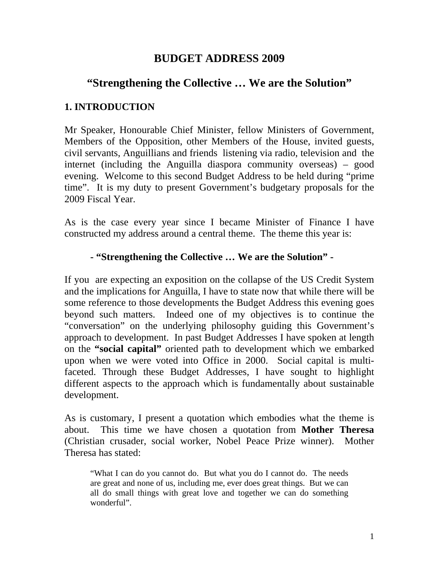# **BUDGET ADDRESS 2009**

# **"Strengthening the Collective … We are the Solution"**

# **1. INTRODUCTION**

Mr Speaker, Honourable Chief Minister, fellow Ministers of Government, Members of the Opposition, other Members of the House, invited guests, civil servants, Anguillians and friends listening via radio, television and the internet (including the Anguilla diaspora community overseas) – good evening. Welcome to this second Budget Address to be held during "prime time". It is my duty to present Government's budgetary proposals for the 2009 Fiscal Year.

As is the case every year since I became Minister of Finance I have constructed my address around a central theme. The theme this year is:

# **- "Strengthening the Collective … We are the Solution" -**

If you are expecting an exposition on the collapse of the US Credit System and the implications for Anguilla, I have to state now that while there will be some reference to those developments the Budget Address this evening goes beyond such matters. Indeed one of my objectives is to continue the "conversation" on the underlying philosophy guiding this Government's approach to development. In past Budget Addresses I have spoken at length on the **"social capital"** oriented path to development which we embarked upon when we were voted into Office in 2000. Social capital is multifaceted. Through these Budget Addresses, I have sought to highlight different aspects to the approach which is fundamentally about sustainable development.

As is customary, I present a quotation which embodies what the theme is about. This time we have chosen a quotation from **Mother Theresa** (Christian crusader, social worker, Nobel Peace Prize winner). Mother Theresa has stated:

"What I can do you cannot do. But what you do I cannot do. The needs are great and none of us, including me, ever does great things. But we can all do small things with great love and together we can do something wonderful".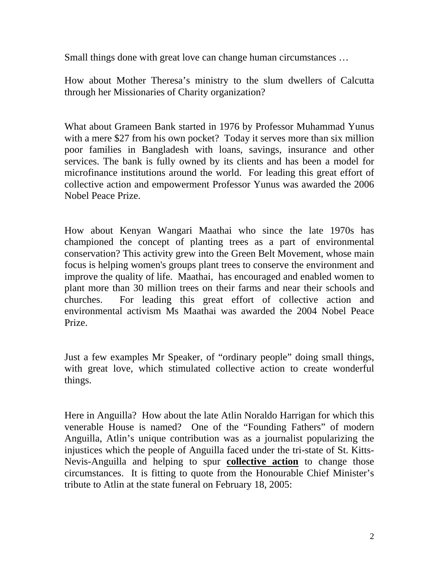Small things done with great love can change human circumstances …

How about Mother Theresa's ministry to the slum dwellers of Calcutta through her Missionaries of Charity organization?

What about Grameen Bank started in 1976 by Professor Muhammad Yunus with a mere \$27 from his own pocket? Today it serves more than six million poor families in Bangladesh with loans, savings, insurance and other services. The bank is fully owned by its clients and has been a model for microfinance institutions around the world. For leading this great effort of collective action and empowerment Professor Yunus was awarded the 2006 Nobel Peace Prize.

How about Kenyan Wangari Maathai who since the late 1970s has championed the concept of planting trees as a part of environmental conservation? This activity grew into the Green Belt Movement, whose main focus is helping women's groups plant trees to conserve the environment and improve the quality of life. Maathai, has encouraged and enabled women to plant more than 30 million trees on their farms and near their schools and churches. For leading this great effort of collective action and environmental activism Ms Maathai was awarded the 2004 Nobel Peace Prize.

Just a few examples Mr Speaker, of "ordinary people" doing small things, with great love, which stimulated collective action to create wonderful things.

Here in Anguilla? How about the late Atlin Noraldo Harrigan for which this venerable House is named? One of the "Founding Fathers" of modern Anguilla, Atlin's unique contribution was as a journalist popularizing the injustices which the people of Anguilla faced under the tri-state of St. Kitts-Nevis-Anguilla and helping to spur **collective action** to change those circumstances. It is fitting to quote from the Honourable Chief Minister's tribute to Atlin at the state funeral on February 18, 2005: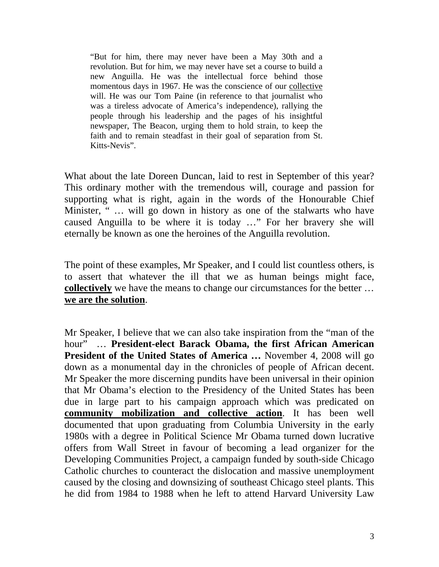"But for him, there may never have been a May 30th and a revolution. But for him, we may never have set a course to build a new Anguilla. He was the intellectual force behind those momentous days in 1967. He was the conscience of our collective will. He was our Tom Paine (in reference to that journalist who was a tireless advocate of America's independence), rallying the people through his leadership and the pages of his insightful newspaper, The Beacon, urging them to hold strain, to keep the faith and to remain steadfast in their goal of separation from St. Kitts-Nevis".

What about the late Doreen Duncan, laid to rest in September of this year? This ordinary mother with the tremendous will, courage and passion for supporting what is right, again in the words of the Honourable Chief Minister, " … will go down in history as one of the stalwarts who have caused Anguilla to be where it is today …" For her bravery she will eternally be known as one the heroines of the Anguilla revolution.

The point of these examples, Mr Speaker, and I could list countless others, is to assert that whatever the ill that we as human beings might face, **collectively** we have the means to change our circumstances for the better ... **we are the solution**.

Mr Speaker, I believe that we can also take inspiration from the "man of the hour" … **President-elect Barack Obama, the first African American President of the United States of America …** November 4, 2008 will go down as a monumental day in the chronicles of people of African decent. Mr Speaker the more discerning pundits have been universal in their opinion that Mr Obama's election to the Presidency of the United States has been due in large part to his campaign approach which was predicated on **community mobilization and collective action**. It has been well documented that upon graduating from Columbia University in the early 1980s with a degree in Political Science Mr Obama turned down lucrative offers from Wall Street in favour of becoming a lead organizer for the Developing Communities Project, a campaign funded by south-side Chicago Catholic churches to counteract the dislocation and massive unemployment caused by the closing and downsizing of southeast Chicago steel plants. This he did from 1984 to 1988 when he left to attend Harvard University Law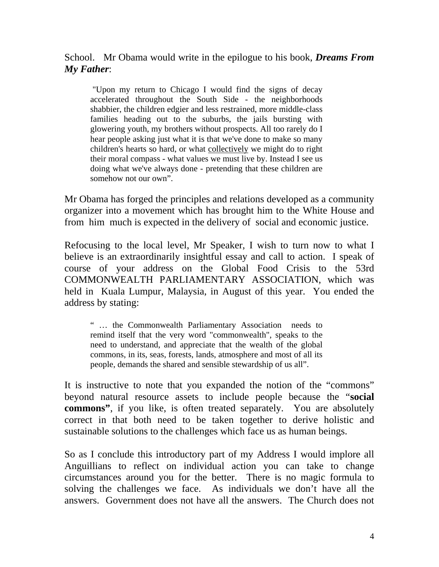School. Mr Obama would write in the epilogue to his book, *Dreams From My Father*:

 "Upon my return to Chicago I would find the signs of decay accelerated throughout the South Side - the neighborhoods shabbier, the children edgier and less restrained, more middle-class families heading out to the suburbs, the jails bursting with glowering youth, my brothers without prospects. All too rarely do I hear people asking just what it is that we've done to make so many children's hearts so hard, or what collectively we might do to right their moral compass - what values we must live by. Instead I see us doing what we've always done - pretending that these children are somehow not our own".

Mr Obama has forged the principles and relations developed as a community organizer into a movement which has brought him to the White House and from him much is expected in the delivery of social and economic justice.

Refocusing to the local level, Mr Speaker, I wish to turn now to what I believe is an extraordinarily insightful essay and call to action. I speak of course of your address on the Global Food Crisis to the 53rd COMMONWEALTH PARLIAMENTARY ASSOCIATION, which was held in Kuala Lumpur, Malaysia, in August of this year. You ended the address by stating:

" … the Commonwealth Parliamentary Association needs to remind itself that the very word "commonwealth", speaks to the need to understand, and appreciate that the wealth of the global commons, in its, seas, forests, lands, atmosphere and most of all its people, demands the shared and sensible stewardship of us all".

It is instructive to note that you expanded the notion of the "commons" beyond natural resource assets to include people because the "**social commons"**, if you like, is often treated separately. You are absolutely correct in that both need to be taken together to derive holistic and sustainable solutions to the challenges which face us as human beings.

So as I conclude this introductory part of my Address I would implore all Anguillians to reflect on individual action you can take to change circumstances around you for the better. There is no magic formula to solving the challenges we face. As individuals we don't have all the answers. Government does not have all the answers. The Church does not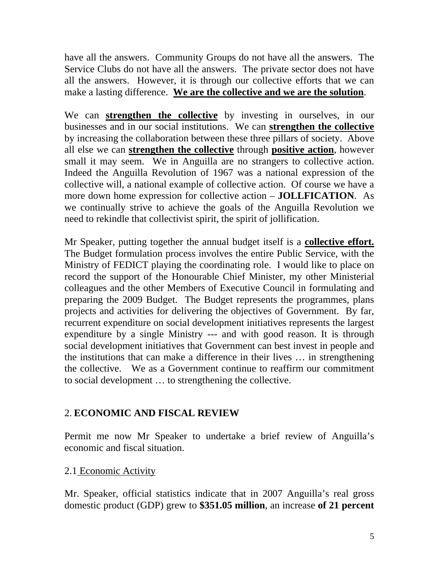have all the answers. Community Groups do not have all the answers. The Service Clubs do not have all the answers. The private sector does not have all the answers. However, it is through our collective efforts that we can make a lasting difference. **We are the collective and we are the solution**.

We can **strengthen the collective** by investing in ourselves, in our businesses and in our social institutions. We can **strengthen the collective** by increasing the collaboration between these three pillars of society. Above all else we can **strengthen the collective** through **positive action**, however small it may seem. We in Anguilla are no strangers to collective action. Indeed the Anguilla Revolution of 1967 was a national expression of the collective will, a national example of collective action. Of course we have a more down home expression for collective action – **JOLLFICATION**. As we continually strive to achieve the goals of the Anguilla Revolution we need to rekindle that collectivist spirit, the spirit of jollification.

Mr Speaker, putting together the annual budget itself is a **collective effort.** The Budget formulation process involves the entire Public Service, with the Ministry of FEDICT playing the coordinating role. I would like to place on record the support of the Honourable Chief Minister, my other Ministerial colleagues and the other Members of Executive Council in formulating and preparing the 2009 Budget. The Budget represents the programmes, plans projects and activities for delivering the objectives of Government. By far, recurrent expenditure on social development initiatives represents the largest expenditure by a single Ministry --- and with good reason. It is through social development initiatives that Government can best invest in people and the institutions that can make a difference in their lives … in strengthening the collective. We as a Government continue to reaffirm our commitment to social development … to strengthening the collective.

# 2. **ECONOMIC AND FISCAL REVIEW**

Permit me now Mr Speaker to undertake a brief review of Anguilla's economic and fiscal situation.

#### 2.1 Economic Activity

Mr. Speaker, official statistics indicate that in 2007 Anguilla's real gross domestic product (GDP) grew to **\$351.05 million**, an increase **of 21 percent**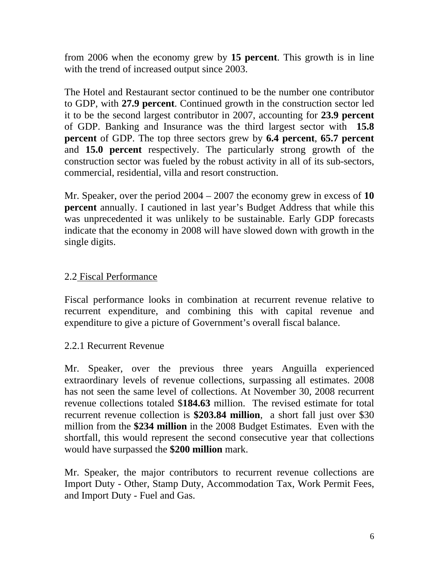from 2006 when the economy grew by **15 percent**. This growth is in line with the trend of increased output since 2003.

The Hotel and Restaurant sector continued to be the number one contributor to GDP, with **27.9 percent**. Continued growth in the construction sector led it to be the second largest contributor in 2007, accounting for **23.9 percent** of GDP. Banking and Insurance was the third largest sector with **15.8 percent** of GDP. The top three sectors grew by **6.4 percent**, **65.7 percent** and **15.0 percent** respectively. The particularly strong growth of the construction sector was fueled by the robust activity in all of its sub-sectors, commercial, residential, villa and resort construction.

Mr. Speaker, over the period 2004 – 2007 the economy grew in excess of **10 percent** annually. I cautioned in last year's Budget Address that while this was unprecedented it was unlikely to be sustainable. Early GDP forecasts indicate that the economy in 2008 will have slowed down with growth in the single digits.

### 2.2 Fiscal Performance

Fiscal performance looks in combination at recurrent revenue relative to recurrent expenditure, and combining this with capital revenue and expenditure to give a picture of Government's overall fiscal balance.

#### 2.2.1 Recurrent Revenue

Mr. Speaker, over the previous three years Anguilla experienced extraordinary levels of revenue collections, surpassing all estimates. 2008 has not seen the same level of collections. At November 30, 2008 recurrent revenue collections totaled \$**184.63** million. The revised estimate for total recurrent revenue collection is **\$203.84 million**, a short fall just over \$30 million from the **\$234 million** in the 2008 Budget Estimates. Even with the shortfall, this would represent the second consecutive year that collections would have surpassed the **\$200 million** mark.

Mr. Speaker, the major contributors to recurrent revenue collections are Import Duty - Other, Stamp Duty, Accommodation Tax, Work Permit Fees, and Import Duty - Fuel and Gas.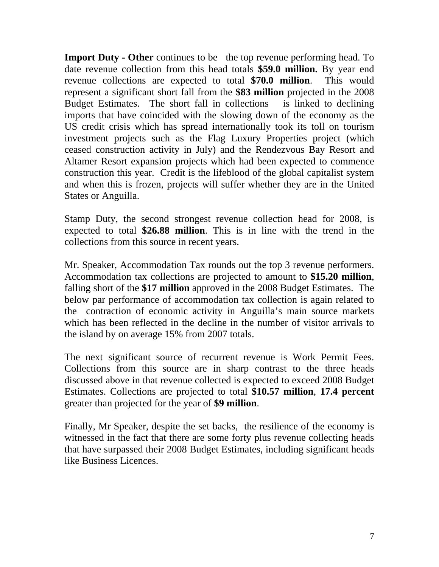**Import Duty - Other** continues to be the top revenue performing head. To date revenue collection from this head totals **\$59.0 million.** By year end revenue collections are expected to total **\$70.0 million**. This would represent a significant short fall from the **\$83 million** projected in the 2008 Budget Estimates. The short fall in collections is linked to declining imports that have coincided with the slowing down of the economy as the US credit crisis which has spread internationally took its toll on tourism investment projects such as the Flag Luxury Properties project (which ceased construction activity in July) and the Rendezvous Bay Resort and Altamer Resort expansion projects which had been expected to commence construction this year. Credit is the lifeblood of the global capitalist system and when this is frozen, projects will suffer whether they are in the United States or Anguilla.

Stamp Duty, the second strongest revenue collection head for 2008, is expected to total **\$26.88 million**. This is in line with the trend in the collections from this source in recent years.

Mr. Speaker, Accommodation Tax rounds out the top 3 revenue performers. Accommodation tax collections are projected to amount to **\$15.20 million**, falling short of the **\$17 million** approved in the 2008 Budget Estimates. The below par performance of accommodation tax collection is again related to the contraction of economic activity in Anguilla's main source markets which has been reflected in the decline in the number of visitor arrivals to the island by on average 15% from 2007 totals.

The next significant source of recurrent revenue is Work Permit Fees. Collections from this source are in sharp contrast to the three heads discussed above in that revenue collected is expected to exceed 2008 Budget Estimates. Collections are projected to total **\$10.57 million**, **17.4 percent** greater than projected for the year of **\$9 million**.

Finally, Mr Speaker, despite the set backs, the resilience of the economy is witnessed in the fact that there are some forty plus revenue collecting heads that have surpassed their 2008 Budget Estimates, including significant heads like Business Licences.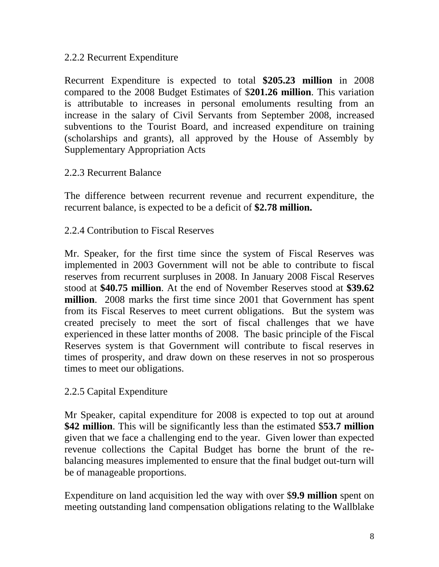### 2.2.2 Recurrent Expenditure

Recurrent Expenditure is expected to total **\$205.23 million** in 2008 compared to the 2008 Budget Estimates of \$**201.26 million**. This variation is attributable to increases in personal emoluments resulting from an increase in the salary of Civil Servants from September 2008, increased subventions to the Tourist Board, and increased expenditure on training (scholarships and grants), all approved by the House of Assembly by Supplementary Appropriation Acts

#### 2.2.3 Recurrent Balance

The difference between recurrent revenue and recurrent expenditure, the recurrent balance, is expected to be a deficit of **\$2.78 million.**

#### 2.2.4 Contribution to Fiscal Reserves

Mr. Speaker, for the first time since the system of Fiscal Reserves was implemented in 2003 Government will not be able to contribute to fiscal reserves from recurrent surpluses in 2008. In January 2008 Fiscal Reserves stood at **\$40.75 million**. At the end of November Reserves stood at **\$39.62 million**. 2008 marks the first time since 2001 that Government has spent from its Fiscal Reserves to meet current obligations. But the system was created precisely to meet the sort of fiscal challenges that we have experienced in these latter months of 2008. The basic principle of the Fiscal Reserves system is that Government will contribute to fiscal reserves in times of prosperity, and draw down on these reserves in not so prosperous times to meet our obligations.

#### 2.2.5 Capital Expenditure

Mr Speaker, capital expenditure for 2008 is expected to top out at around **\$42 million**. This will be significantly less than the estimated \$**53.7 million** given that we face a challenging end to the year. Given lower than expected revenue collections the Capital Budget has borne the brunt of the rebalancing measures implemented to ensure that the final budget out-turn will be of manageable proportions.

Expenditure on land acquisition led the way with over \$**9.9 million** spent on meeting outstanding land compensation obligations relating to the Wallblake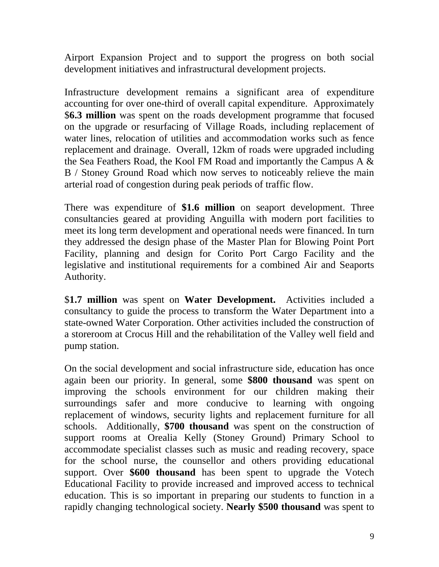Airport Expansion Project and to support the progress on both social development initiatives and infrastructural development projects.

Infrastructure development remains a significant area of expenditure accounting for over one-third of overall capital expenditure. Approximately \$**6.3 million** was spent on the roads development programme that focused on the upgrade or resurfacing of Village Roads, including replacement of water lines, relocation of utilities and accommodation works such as fence replacement and drainage. Overall, 12km of roads were upgraded including the Sea Feathers Road, the Kool FM Road and importantly the Campus A & B / Stoney Ground Road which now serves to noticeably relieve the main arterial road of congestion during peak periods of traffic flow.

There was expenditure of **\$1.6 million** on seaport development. Three consultancies geared at providing Anguilla with modern port facilities to meet its long term development and operational needs were financed. In turn they addressed the design phase of the Master Plan for Blowing Point Port Facility, planning and design for Corito Port Cargo Facility and the legislative and institutional requirements for a combined Air and Seaports Authority.

\$**1.7 million** was spent on **Water Development.** Activities included a consultancy to guide the process to transform the Water Department into a state-owned Water Corporation. Other activities included the construction of a storeroom at Crocus Hill and the rehabilitation of the Valley well field and pump station.

On the social development and social infrastructure side, education has once again been our priority. In general, some **\$800 thousand** was spent on improving the schools environment for our children making their surroundings safer and more conducive to learning with ongoing replacement of windows, security lights and replacement furniture for all schools. Additionally, **\$700 thousand** was spent on the construction of support rooms at Orealia Kelly (Stoney Ground) Primary School to accommodate specialist classes such as music and reading recovery, space for the school nurse, the counsellor and others providing educational support. Over **\$600 thousand** has been spent to upgrade the Votech Educational Facility to provide increased and improved access to technical education. This is so important in preparing our students to function in a rapidly changing technological society. **Nearly \$500 thousand** was spent to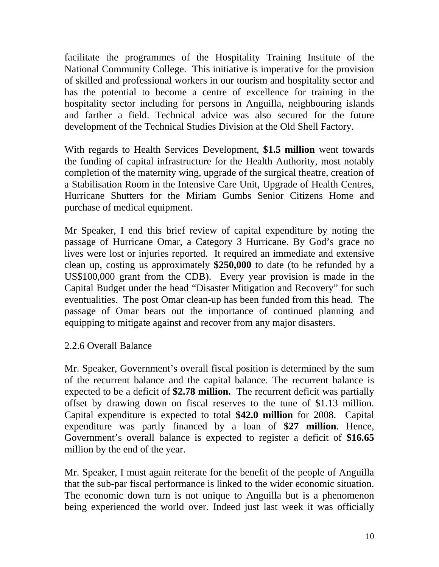facilitate the programmes of the Hospitality Training Institute of the National Community College. This initiative is imperative for the provision of skilled and professional workers in our tourism and hospitality sector and has the potential to become a centre of excellence for training in the hospitality sector including for persons in Anguilla, neighbouring islands and farther a field. Technical advice was also secured for the future development of the Technical Studies Division at the Old Shell Factory.

With regards to Health Services Development, **\$1.5 million** went towards the funding of capital infrastructure for the Health Authority, most notably completion of the maternity wing, upgrade of the surgical theatre, creation of a Stabilisation Room in the Intensive Care Unit, Upgrade of Health Centres, Hurricane Shutters for the Miriam Gumbs Senior Citizens Home and purchase of medical equipment.

Mr Speaker, I end this brief review of capital expenditure by noting the passage of Hurricane Omar, a Category 3 Hurricane. By God's grace no lives were lost or injuries reported. It required an immediate and extensive clean up, costing us approximately **\$250,000** to date (to be refunded by a US\$100,000 grant from the CDB). Every year provision is made in the Capital Budget under the head "Disaster Mitigation and Recovery" for such eventualities. The post Omar clean-up has been funded from this head. The passage of Omar bears out the importance of continued planning and equipping to mitigate against and recover from any major disasters.

# 2.2.6 Overall Balance

Mr. Speaker, Government's overall fiscal position is determined by the sum of the recurrent balance and the capital balance. The recurrent balance is expected to be a deficit of **\$2.78 million.** The recurrent deficit was partially offset by drawing down on fiscal reserves to the tune of \$1.13 million. Capital expenditure is expected to total **\$42.0 million** for 2008. Capital expenditure was partly financed by a loan of **\$27 million**. Hence, Government's overall balance is expected to register a deficit of **\$16.65**  million by the end of the year.

Mr. Speaker, I must again reiterate for the benefit of the people of Anguilla that the sub-par fiscal performance is linked to the wider economic situation. The economic down turn is not unique to Anguilla but is a phenomenon being experienced the world over. Indeed just last week it was officially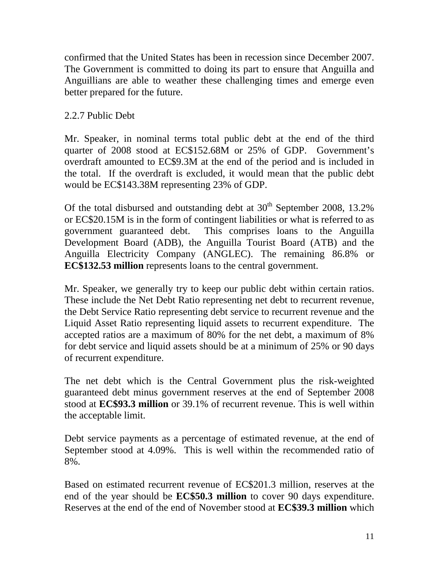confirmed that the United States has been in recession since December 2007. The Government is committed to doing its part to ensure that Anguilla and Anguillians are able to weather these challenging times and emerge even better prepared for the future.

### 2.2.7 Public Debt

Mr. Speaker, in nominal terms total public debt at the end of the third quarter of 2008 stood at EC\$152.68M or 25% of GDP. Government's overdraft amounted to EC\$9.3M at the end of the period and is included in the total. If the overdraft is excluded, it would mean that the public debt would be EC\$143.38M representing 23% of GDP.

Of the total disbursed and outstanding debt at  $30<sup>th</sup>$  September 2008, 13.2% or EC\$20.15M is in the form of contingent liabilities or what is referred to as government guaranteed debt. This comprises loans to the Anguilla Development Board (ADB), the Anguilla Tourist Board (ATB) and the Anguilla Electricity Company (ANGLEC). The remaining 86.8% or **EC\$132.53 million** represents loans to the central government.

Mr. Speaker, we generally try to keep our public debt within certain ratios. These include the Net Debt Ratio representing net debt to recurrent revenue, the Debt Service Ratio representing debt service to recurrent revenue and the Liquid Asset Ratio representing liquid assets to recurrent expenditure. The accepted ratios are a maximum of 80% for the net debt, a maximum of 8% for debt service and liquid assets should be at a minimum of 25% or 90 days of recurrent expenditure.

The net debt which is the Central Government plus the risk-weighted guaranteed debt minus government reserves at the end of September 2008 stood at **EC\$93.3 million** or 39.1% of recurrent revenue. This is well within the acceptable limit.

Debt service payments as a percentage of estimated revenue, at the end of September stood at 4.09%. This is well within the recommended ratio of 8%.

Based on estimated recurrent revenue of EC\$201.3 million, reserves at the end of the year should be **EC\$50.3 million** to cover 90 days expenditure. Reserves at the end of the end of November stood at **EC\$39.3 million** which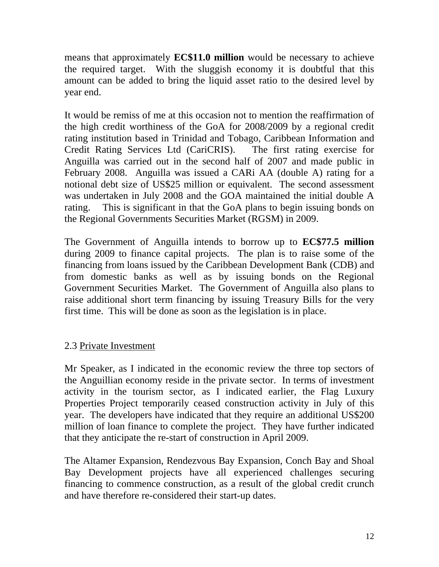means that approximately **EC\$11.0 million** would be necessary to achieve the required target. With the sluggish economy it is doubtful that this amount can be added to bring the liquid asset ratio to the desired level by year end.

It would be remiss of me at this occasion not to mention the reaffirmation of the high credit worthiness of the GoA for 2008/2009 by a regional credit rating institution based in Trinidad and Tobago, Caribbean Information and Credit Rating Services Ltd (CariCRIS). The first rating exercise for Anguilla was carried out in the second half of 2007 and made public in February 2008. Anguilla was issued a CARi AA (double A) rating for a notional debt size of US\$25 million or equivalent. The second assessment was undertaken in July 2008 and the GOA maintained the initial double A rating. This is significant in that the GoA plans to begin issuing bonds on the Regional Governments Securities Market (RGSM) in 2009.

The Government of Anguilla intends to borrow up to **EC\$77.5 million** during 2009 to finance capital projects. The plan is to raise some of the financing from loans issued by the Caribbean Development Bank (CDB) and from domestic banks as well as by issuing bonds on the Regional Government Securities Market. The Government of Anguilla also plans to raise additional short term financing by issuing Treasury Bills for the very first time. This will be done as soon as the legislation is in place.

# 2.3 Private Investment

Mr Speaker, as I indicated in the economic review the three top sectors of the Anguillian economy reside in the private sector. In terms of investment activity in the tourism sector, as I indicated earlier, the Flag Luxury Properties Project temporarily ceased construction activity in July of this year. The developers have indicated that they require an additional US\$200 million of loan finance to complete the project. They have further indicated that they anticipate the re-start of construction in April 2009.

The Altamer Expansion, Rendezvous Bay Expansion, Conch Bay and Shoal Bay Development projects have all experienced challenges securing financing to commence construction, as a result of the global credit crunch and have therefore re-considered their start-up dates.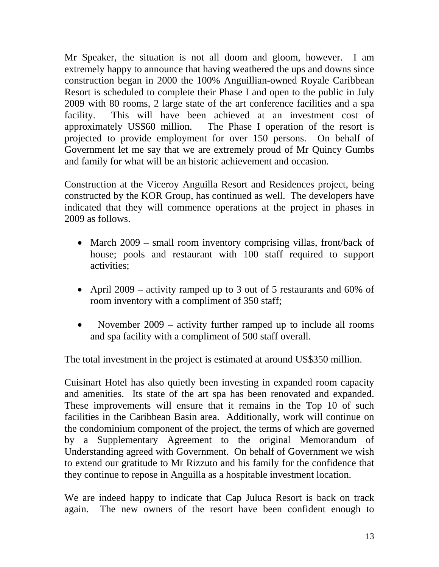Mr Speaker, the situation is not all doom and gloom, however. I am extremely happy to announce that having weathered the ups and downs since construction began in 2000 the 100% Anguillian-owned Royale Caribbean Resort is scheduled to complete their Phase I and open to the public in July 2009 with 80 rooms, 2 large state of the art conference facilities and a spa facility. This will have been achieved at an investment cost of approximately US\$60 million. The Phase I operation of the resort is projected to provide employment for over 150 persons. On behalf of Government let me say that we are extremely proud of Mr Quincy Gumbs and family for what will be an historic achievement and occasion.

Construction at the Viceroy Anguilla Resort and Residences project, being constructed by the KOR Group, has continued as well. The developers have indicated that they will commence operations at the project in phases in 2009 as follows.

- March 2009 small room inventory comprising villas, front/back of house; pools and restaurant with 100 staff required to support activities;
- April 2009 activity ramped up to 3 out of 5 restaurants and 60% of room inventory with a compliment of 350 staff;
- November 2009 activity further ramped up to include all rooms and spa facility with a compliment of 500 staff overall.

The total investment in the project is estimated at around US\$350 million.

Cuisinart Hotel has also quietly been investing in expanded room capacity and amenities. Its state of the art spa has been renovated and expanded. These improvements will ensure that it remains in the Top 10 of such facilities in the Caribbean Basin area. Additionally, work will continue on the condominium component of the project, the terms of which are governed by a Supplementary Agreement to the original Memorandum of Understanding agreed with Government. On behalf of Government we wish to extend our gratitude to Mr Rizzuto and his family for the confidence that they continue to repose in Anguilla as a hospitable investment location.

We are indeed happy to indicate that Cap Juluca Resort is back on track again. The new owners of the resort have been confident enough to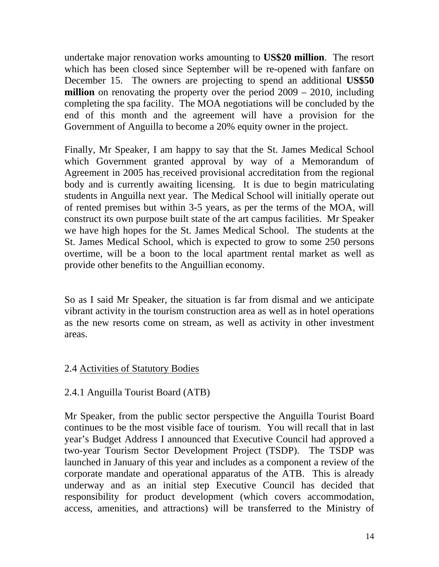undertake major renovation works amounting to **US\$20 million**. The resort which has been closed since September will be re-opened with fanfare on December 15. The owners are projecting to spend an additional **US\$50 million** on renovating the property over the period 2009 – 2010, including completing the spa facility. The MOA negotiations will be concluded by the end of this month and the agreement will have a provision for the Government of Anguilla to become a 20% equity owner in the project.

Finally, Mr Speaker, I am happy to say that the St. James Medical School which Government granted approval by way of a Memorandum of Agreement in 2005 has received provisional accreditation from the regional body and is currently awaiting licensing. It is due to begin matriculating students in Anguilla next year. The Medical School will initially operate out of rented premises but within 3-5 years, as per the terms of the MOA, will construct its own purpose built state of the art campus facilities. Mr Speaker we have high hopes for the St. James Medical School. The students at the St. James Medical School, which is expected to grow to some 250 persons overtime, will be a boon to the local apartment rental market as well as provide other benefits to the Anguillian economy.

So as I said Mr Speaker, the situation is far from dismal and we anticipate vibrant activity in the tourism construction area as well as in hotel operations as the new resorts come on stream, as well as activity in other investment areas.

# 2.4 Activities of Statutory Bodies

#### 2.4.1 Anguilla Tourist Board (ATB)

Mr Speaker, from the public sector perspective the Anguilla Tourist Board continues to be the most visible face of tourism. You will recall that in last year's Budget Address I announced that Executive Council had approved a two-year Tourism Sector Development Project (TSDP). The TSDP was launched in January of this year and includes as a component a review of the corporate mandate and operational apparatus of the ATB. This is already underway and as an initial step Executive Council has decided that responsibility for product development (which covers accommodation, access, amenities, and attractions) will be transferred to the Ministry of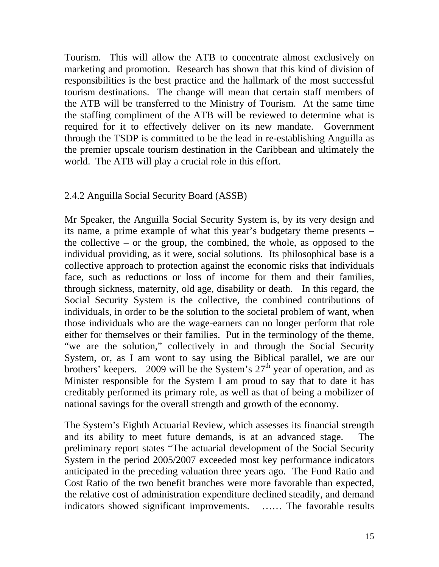Tourism. This will allow the ATB to concentrate almost exclusively on marketing and promotion. Research has shown that this kind of division of responsibilities is the best practice and the hallmark of the most successful tourism destinations. The change will mean that certain staff members of the ATB will be transferred to the Ministry of Tourism. At the same time the staffing compliment of the ATB will be reviewed to determine what is required for it to effectively deliver on its new mandate. Government through the TSDP is committed to be the lead in re-establishing Anguilla as the premier upscale tourism destination in the Caribbean and ultimately the world. The ATB will play a crucial role in this effort.

#### 2.4.2 Anguilla Social Security Board (ASSB)

Mr Speaker, the Anguilla Social Security System is, by its very design and its name, a prime example of what this year's budgetary theme presents – the collective – or the group, the combined, the whole, as opposed to the individual providing, as it were, social solutions. Its philosophical base is a collective approach to protection against the economic risks that individuals face, such as reductions or loss of income for them and their families, through sickness, maternity, old age, disability or death. In this regard, the Social Security System is the collective, the combined contributions of individuals, in order to be the solution to the societal problem of want, when those individuals who are the wage-earners can no longer perform that role either for themselves or their families. Put in the terminology of the theme, "we are the solution," collectively in and through the Social Security System, or, as I am wont to say using the Biblical parallel, we are our brothers' keepers. 2009 will be the System's  $27<sup>th</sup>$  year of operation, and as Minister responsible for the System I am proud to say that to date it has creditably performed its primary role, as well as that of being a mobilizer of national savings for the overall strength and growth of the economy.

The System's Eighth Actuarial Review, which assesses its financial strength and its ability to meet future demands, is at an advanced stage. The preliminary report states "The actuarial development of the Social Security System in the period 2005/2007 exceeded most key performance indicators anticipated in the preceding valuation three years ago. The Fund Ratio and Cost Ratio of the two benefit branches were more favorable than expected, the relative cost of administration expenditure declined steadily, and demand indicators showed significant improvements. …… The favorable results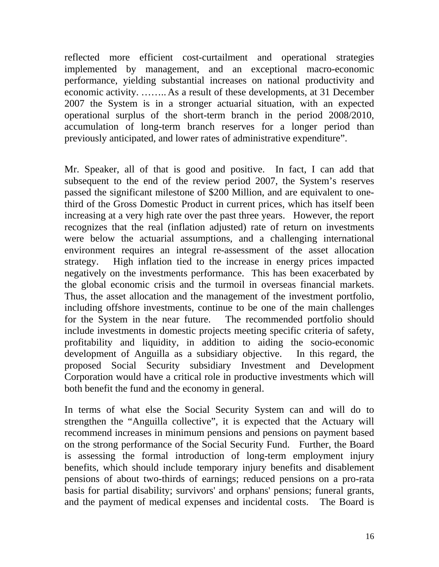reflected more efficient cost-curtailment and operational strategies implemented by management, and an exceptional macro-economic performance, yielding substantial increases on national productivity and economic activity. …….. As a result of these developments, at 31 December 2007 the System is in a stronger actuarial situation, with an expected operational surplus of the short-term branch in the period 2008/2010, accumulation of long-term branch reserves for a longer period than previously anticipated, and lower rates of administrative expenditure".

Mr. Speaker, all of that is good and positive. In fact, I can add that subsequent to the end of the review period 2007, the System's reserves passed the significant milestone of \$200 Million, and are equivalent to onethird of the Gross Domestic Product in current prices, which has itself been increasing at a very high rate over the past three years. However, the report recognizes that the real (inflation adjusted) rate of return on investments were below the actuarial assumptions, and a challenging international environment requires an integral re-assessment of the asset allocation strategy. High inflation tied to the increase in energy prices impacted negatively on the investments performance. This has been exacerbated by the global economic crisis and the turmoil in overseas financial markets. Thus, the asset allocation and the management of the investment portfolio, including offshore investments, continue to be one of the main challenges for the System in the near future. The recommended portfolio should include investments in domestic projects meeting specific criteria of safety, profitability and liquidity, in addition to aiding the socio-economic development of Anguilla as a subsidiary objective. In this regard, the proposed Social Security subsidiary Investment and Development Corporation would have a critical role in productive investments which will both benefit the fund and the economy in general.

In terms of what else the Social Security System can and will do to strengthen the "Anguilla collective", it is expected that the Actuary will recommend increases in minimum pensions and pensions on payment based on the strong performance of the Social Security Fund. Further, the Board is assessing the formal introduction of long-term employment injury benefits, which should include temporary injury benefits and disablement pensions of about two-thirds of earnings; reduced pensions on a pro-rata basis for partial disability; survivors' and orphans' pensions; funeral grants, and the payment of medical expenses and incidental costs. The Board is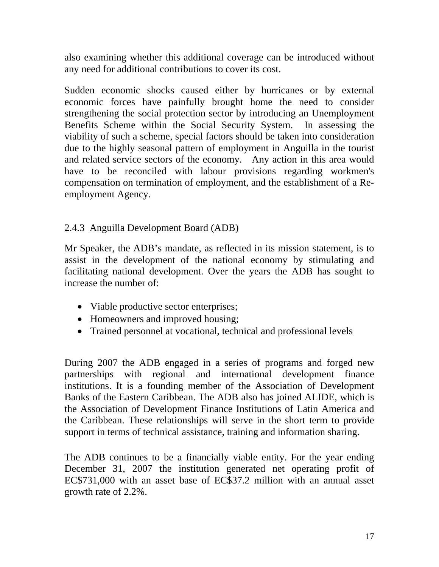also examining whether this additional coverage can be introduced without any need for additional contributions to cover its cost.

Sudden economic shocks caused either by hurricanes or by external economic forces have painfully brought home the need to consider strengthening the social protection sector by introducing an Unemployment Benefits Scheme within the Social Security System. In assessing the viability of such a scheme, special factors should be taken into consideration due to the highly seasonal pattern of employment in Anguilla in the tourist and related service sectors of the economy. Any action in this area would have to be reconciled with labour provisions regarding workmen's compensation on termination of employment, and the establishment of a Reemployment Agency.

# 2.4.3 Anguilla Development Board (ADB)

Mr Speaker, the ADB's mandate, as reflected in its mission statement, is to assist in the development of the national economy by stimulating and facilitating national development. Over the years the ADB has sought to increase the number of:

- Viable productive sector enterprises;
- Homeowners and improved housing;
- Trained personnel at vocational, technical and professional levels

During 2007 the ADB engaged in a series of programs and forged new partnerships with regional and international development finance institutions. It is a founding member of the Association of Development Banks of the Eastern Caribbean. The ADB also has joined ALIDE, which is the Association of Development Finance Institutions of Latin America and the Caribbean. These relationships will serve in the short term to provide support in terms of technical assistance, training and information sharing.

The ADB continues to be a financially viable entity. For the year ending December 31, 2007 the institution generated net operating profit of EC\$731,000 with an asset base of EC\$37.2 million with an annual asset growth rate of 2.2%.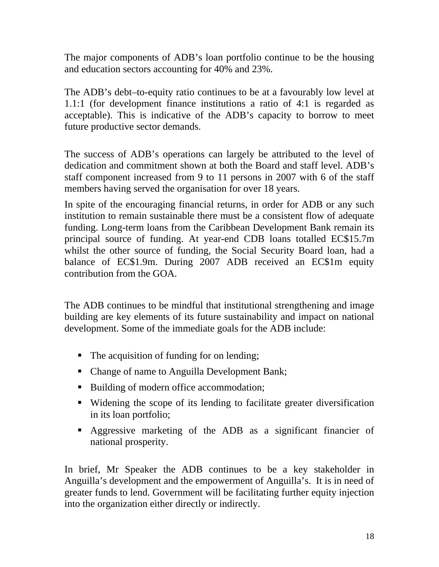The major components of ADB's loan portfolio continue to be the housing and education sectors accounting for 40% and 23%.

The ADB's debt–to-equity ratio continues to be at a favourably low level at 1.1:1 (for development finance institutions a ratio of 4:1 is regarded as acceptable). This is indicative of the ADB's capacity to borrow to meet future productive sector demands.

The success of ADB's operations can largely be attributed to the level of dedication and commitment shown at both the Board and staff level. ADB's staff component increased from 9 to 11 persons in 2007 with 6 of the staff members having served the organisation for over 18 years.

In spite of the encouraging financial returns, in order for ADB or any such institution to remain sustainable there must be a consistent flow of adequate funding. Long-term loans from the Caribbean Development Bank remain its principal source of funding. At year-end CDB loans totalled EC\$15.7m whilst the other source of funding, the Social Security Board loan, had a balance of EC\$1.9m. During 2007 ADB received an EC\$1m equity contribution from the GOA.

The ADB continues to be mindful that institutional strengthening and image building are key elements of its future sustainability and impact on national development. Some of the immediate goals for the ADB include:

- The acquisition of funding for on lending;
- Change of name to Anguilla Development Bank;
- Building of modern office accommodation;
- Widening the scope of its lending to facilitate greater diversification in its loan portfolio;
- Aggressive marketing of the ADB as a significant financier of national prosperity.

In brief, Mr Speaker the ADB continues to be a key stakeholder in Anguilla's development and the empowerment of Anguilla's. It is in need of greater funds to lend. Government will be facilitating further equity injection into the organization either directly or indirectly.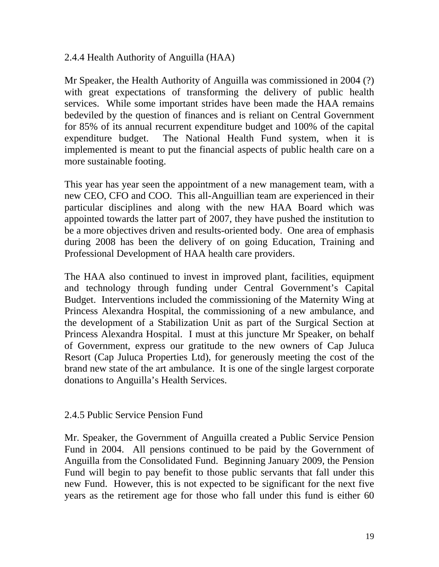### 2.4.4 Health Authority of Anguilla (HAA)

Mr Speaker, the Health Authority of Anguilla was commissioned in 2004 (?) with great expectations of transforming the delivery of public health services. While some important strides have been made the HAA remains bedeviled by the question of finances and is reliant on Central Government for 85% of its annual recurrent expenditure budget and 100% of the capital expenditure budget. The National Health Fund system, when it is implemented is meant to put the financial aspects of public health care on a more sustainable footing.

This year has year seen the appointment of a new management team, with a new CEO, CFO and COO. This all-Anguillian team are experienced in their particular disciplines and along with the new HAA Board which was appointed towards the latter part of 2007, they have pushed the institution to be a more objectives driven and results-oriented body. One area of emphasis during 2008 has been the delivery of on going Education, Training and Professional Development of HAA health care providers.

The HAA also continued to invest in improved plant, facilities, equipment and technology through funding under Central Government's Capital Budget. Interventions included the commissioning of the Maternity Wing at Princess Alexandra Hospital, the commissioning of a new ambulance, and the development of a Stabilization Unit as part of the Surgical Section at Princess Alexandra Hospital. I must at this juncture Mr Speaker, on behalf of Government, express our gratitude to the new owners of Cap Juluca Resort (Cap Juluca Properties Ltd), for generously meeting the cost of the brand new state of the art ambulance. It is one of the single largest corporate donations to Anguilla's Health Services.

# 2.4.5 Public Service Pension Fund

Mr. Speaker, the Government of Anguilla created a Public Service Pension Fund in 2004. All pensions continued to be paid by the Government of Anguilla from the Consolidated Fund. Beginning January 2009, the Pension Fund will begin to pay benefit to those public servants that fall under this new Fund. However, this is not expected to be significant for the next five years as the retirement age for those who fall under this fund is either 60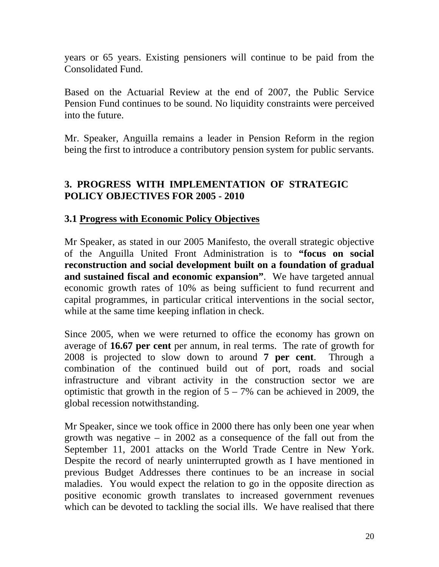years or 65 years. Existing pensioners will continue to be paid from the Consolidated Fund.

Based on the Actuarial Review at the end of 2007, the Public Service Pension Fund continues to be sound. No liquidity constraints were perceived into the future.

Mr. Speaker, Anguilla remains a leader in Pension Reform in the region being the first to introduce a contributory pension system for public servants.

# **3. PROGRESS WITH IMPLEMENTATION OF STRATEGIC POLICY OBJECTIVES FOR 2005 - 2010**

# **3.1 Progress with Economic Policy Objectives**

Mr Speaker, as stated in our 2005 Manifesto, the overall strategic objective of the Anguilla United Front Administration is to **"focus on social reconstruction and social development built on a foundation of gradual and sustained fiscal and economic expansion"**. We have targeted annual economic growth rates of 10% as being sufficient to fund recurrent and capital programmes, in particular critical interventions in the social sector, while at the same time keeping inflation in check.

Since 2005, when we were returned to office the economy has grown on average of **16.67 per cent** per annum, in real terms. The rate of growth for 2008 is projected to slow down to around **7 per cent**. Through a combination of the continued build out of port, roads and social infrastructure and vibrant activity in the construction sector we are optimistic that growth in the region of  $5 - 7\%$  can be achieved in 2009, the global recession notwithstanding.

Mr Speaker, since we took office in 2000 there has only been one year when growth was negative – in 2002 as a consequence of the fall out from the September 11, 2001 attacks on the World Trade Centre in New York. Despite the record of nearly uninterrupted growth as I have mentioned in previous Budget Addresses there continues to be an increase in social maladies. You would expect the relation to go in the opposite direction as positive economic growth translates to increased government revenues which can be devoted to tackling the social ills. We have realised that there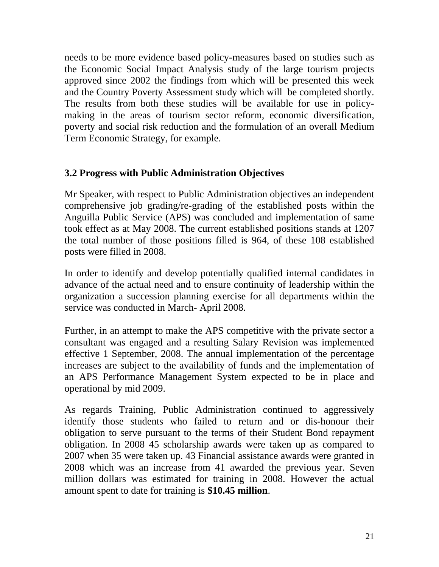needs to be more evidence based policy-measures based on studies such as the Economic Social Impact Analysis study of the large tourism projects approved since 2002 the findings from which will be presented this week and the Country Poverty Assessment study which will be completed shortly. The results from both these studies will be available for use in policymaking in the areas of tourism sector reform, economic diversification, poverty and social risk reduction and the formulation of an overall Medium Term Economic Strategy, for example.

# **3.2 Progress with Public Administration Objectives**

Mr Speaker, with respect to Public Administration objectives an independent comprehensive job grading/re-grading of the established posts within the Anguilla Public Service (APS) was concluded and implementation of same took effect as at May 2008. The current established positions stands at 1207 the total number of those positions filled is 964, of these 108 established posts were filled in 2008.

In order to identify and develop potentially qualified internal candidates in advance of the actual need and to ensure continuity of leadership within the organization a succession planning exercise for all departments within the service was conducted in March- April 2008.

Further, in an attempt to make the APS competitive with the private sector a consultant was engaged and a resulting Salary Revision was implemented effective 1 September, 2008. The annual implementation of the percentage increases are subject to the availability of funds and the implementation of an APS Performance Management System expected to be in place and operational by mid 2009.

As regards Training, Public Administration continued to aggressively identify those students who failed to return and or dis-honour their obligation to serve pursuant to the terms of their Student Bond repayment obligation. In 2008 45 scholarship awards were taken up as compared to 2007 when 35 were taken up. 43 Financial assistance awards were granted in 2008 which was an increase from 41 awarded the previous year. Seven million dollars was estimated for training in 2008. However the actual amount spent to date for training is **\$10.45 million**.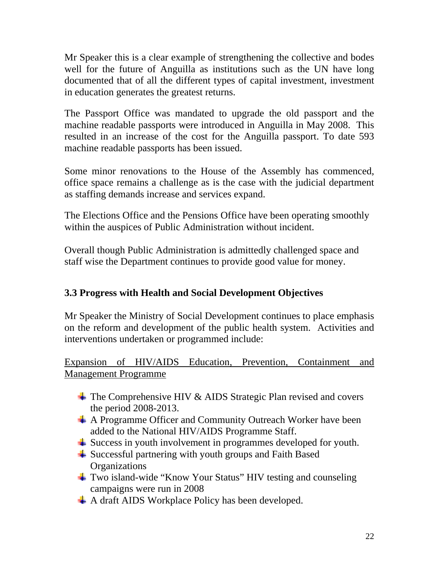Mr Speaker this is a clear example of strengthening the collective and bodes well for the future of Anguilla as institutions such as the UN have long documented that of all the different types of capital investment, investment in education generates the greatest returns.

The Passport Office was mandated to upgrade the old passport and the machine readable passports were introduced in Anguilla in May 2008. This resulted in an increase of the cost for the Anguilla passport. To date 593 machine readable passports has been issued.

Some minor renovations to the House of the Assembly has commenced, office space remains a challenge as is the case with the judicial department as staffing demands increase and services expand.

The Elections Office and the Pensions Office have been operating smoothly within the auspices of Public Administration without incident.

Overall though Public Administration is admittedly challenged space and staff wise the Department continues to provide good value for money.

# **3.3 Progress with Health and Social Development Objectives**

Mr Speaker the Ministry of Social Development continues to place emphasis on the reform and development of the public health system. Activities and interventions undertaken or programmed include:

# Expansion of HIV/AIDS Education, Prevention, Containment and Management Programme

- $\overline{\phantom{a}}$  The Comprehensive HIV & AIDS Strategic Plan revised and covers the period 2008-2013.
- A Programme Officer and Community Outreach Worker have been added to the National HIV/AIDS Programme Staff.
- **→** Success in youth involvement in programmes developed for youth.
- $\frac{1}{2}$  Successful partnering with youth groups and Faith Based **Organizations**
- Two island-wide "Know Your Status" HIV testing and counseling campaigns were run in 2008
- A draft AIDS Workplace Policy has been developed.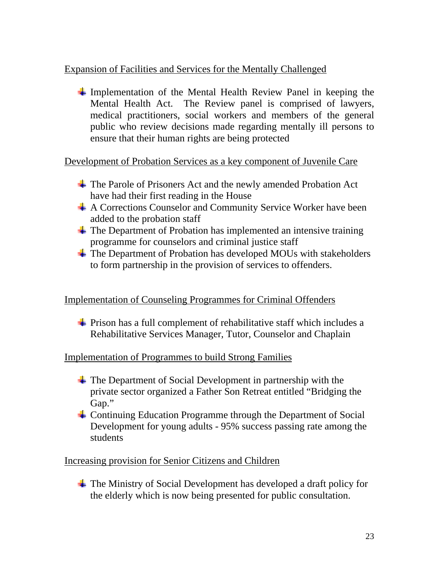# Expansion of Facilities and Services for the Mentally Challenged

 $\overline{\phantom{a}}$  Implementation of the Mental Health Review Panel in keeping the Mental Health Act. The Review panel is comprised of lawyers, medical practitioners, social workers and members of the general public who review decisions made regarding mentally ill persons to ensure that their human rights are being protected

Development of Probation Services as a key component of Juvenile Care

- The Parole of Prisoners Act and the newly amended Probation Act have had their first reading in the House
- A Corrections Counselor and Community Service Worker have been added to the probation staff
- $\overline{\phantom{a}}$  The Department of Probation has implemented an intensive training programme for counselors and criminal justice staff
- $\triangleq$  The Department of Probation has developed MOUs with stakeholders to form partnership in the provision of services to offenders.

# Implementation of Counseling Programmes for Criminal Offenders

 $\overline{\phantom{a}}$  Prison has a full complement of rehabilitative staff which includes a Rehabilitative Services Manager, Tutor, Counselor and Chaplain

#### Implementation of Programmes to build Strong Families

- $\overline{\phantom{a}}$  The Department of Social Development in partnership with the private sector organized a Father Son Retreat entitled "Bridging the Gap."
- Continuing Education Programme through the Department of Social Development for young adults - 95% success passing rate among the students

# Increasing provision for Senior Citizens and Children

The Ministry of Social Development has developed a draft policy for the elderly which is now being presented for public consultation.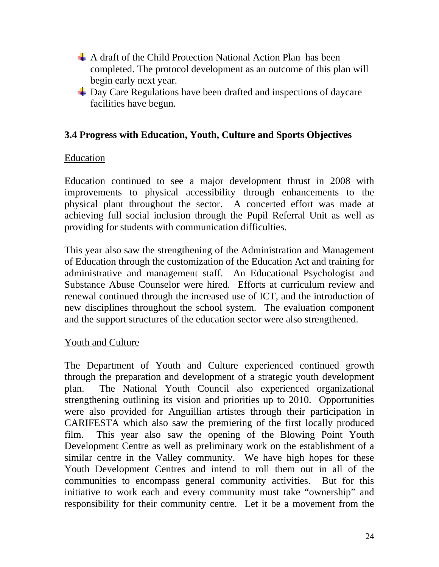- $\overline{A}$  A draft of the Child Protection National Action Plan has been completed. The protocol development as an outcome of this plan will begin early next year.
- $\frac{1}{\sqrt{2}}$  Day Care Regulations have been drafted and inspections of daycare facilities have begun.

### **3.4 Progress with Education, Youth, Culture and Sports Objectives**

#### Education

Education continued to see a major development thrust in 2008 with improvements to physical accessibility through enhancements to the physical plant throughout the sector. A concerted effort was made at achieving full social inclusion through the Pupil Referral Unit as well as providing for students with communication difficulties.

This year also saw the strengthening of the Administration and Management of Education through the customization of the Education Act and training for administrative and management staff. An Educational Psychologist and Substance Abuse Counselor were hired. Efforts at curriculum review and renewal continued through the increased use of ICT, and the introduction of new disciplines throughout the school system. The evaluation component and the support structures of the education sector were also strengthened.

#### Youth and Culture

The Department of Youth and Culture experienced continued growth through the preparation and development of a strategic youth development plan. The National Youth Council also experienced organizational strengthening outlining its vision and priorities up to 2010. Opportunities were also provided for Anguillian artistes through their participation in CARIFESTA which also saw the premiering of the first locally produced film. This year also saw the opening of the Blowing Point Youth Development Centre as well as preliminary work on the establishment of a similar centre in the Valley community. We have high hopes for these Youth Development Centres and intend to roll them out in all of the communities to encompass general community activities. But for this initiative to work each and every community must take "ownership" and responsibility for their community centre. Let it be a movement from the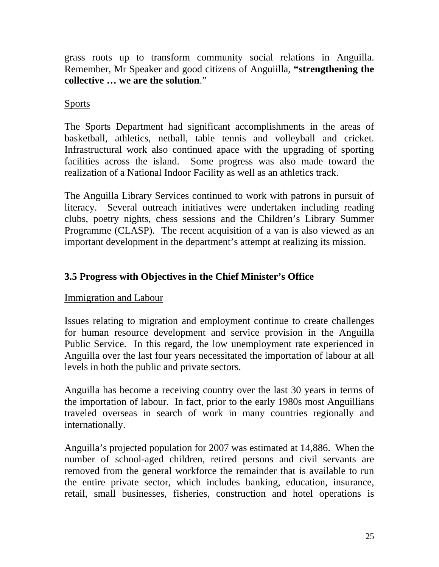grass roots up to transform community social relations in Anguilla. Remember, Mr Speaker and good citizens of Anguiilla, **"strengthening the collective … we are the solution**."

# Sports

The Sports Department had significant accomplishments in the areas of basketball, athletics, netball, table tennis and volleyball and cricket. Infrastructural work also continued apace with the upgrading of sporting facilities across the island. Some progress was also made toward the realization of a National Indoor Facility as well as an athletics track.

The Anguilla Library Services continued to work with patrons in pursuit of literacy. Several outreach initiatives were undertaken including reading clubs, poetry nights, chess sessions and the Children's Library Summer Programme (CLASP). The recent acquisition of a van is also viewed as an important development in the department's attempt at realizing its mission.

# **3.5 Progress with Objectives in the Chief Minister's Office**

# Immigration and Labour

Issues relating to migration and employment continue to create challenges for human resource development and service provision in the Anguilla Public Service. In this regard, the low unemployment rate experienced in Anguilla over the last four years necessitated the importation of labour at all levels in both the public and private sectors.

Anguilla has become a receiving country over the last 30 years in terms of the importation of labour. In fact, prior to the early 1980s most Anguillians traveled overseas in search of work in many countries regionally and internationally.

Anguilla's projected population for 2007 was estimated at 14,886. When the number of school-aged children, retired persons and civil servants are removed from the general workforce the remainder that is available to run the entire private sector, which includes banking, education, insurance, retail, small businesses, fisheries, construction and hotel operations is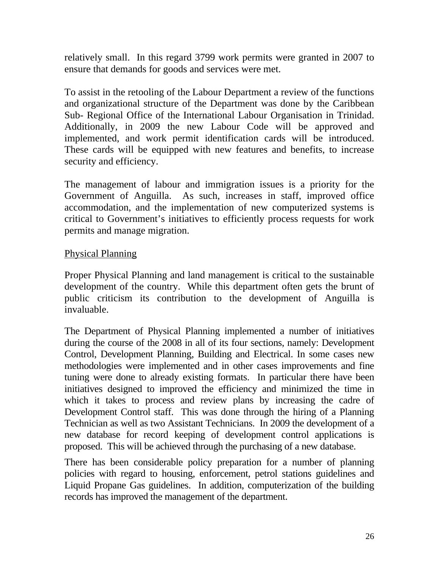relatively small. In this regard 3799 work permits were granted in 2007 to ensure that demands for goods and services were met.

To assist in the retooling of the Labour Department a review of the functions and organizational structure of the Department was done by the Caribbean Sub- Regional Office of the International Labour Organisation in Trinidad. Additionally, in 2009 the new Labour Code will be approved and implemented, and work permit identification cards will be introduced. These cards will be equipped with new features and benefits, to increase security and efficiency.

The management of labour and immigration issues is a priority for the Government of Anguilla. As such, increases in staff, improved office accommodation, and the implementation of new computerized systems is critical to Government's initiatives to efficiently process requests for work permits and manage migration.

### Physical Planning

Proper Physical Planning and land management is critical to the sustainable development of the country. While this department often gets the brunt of public criticism its contribution to the development of Anguilla is invaluable.

The Department of Physical Planning implemented a number of initiatives during the course of the 2008 in all of its four sections, namely: Development Control, Development Planning, Building and Electrical. In some cases new methodologies were implemented and in other cases improvements and fine tuning were done to already existing formats. In particular there have been initiatives designed to improved the efficiency and minimized the time in which it takes to process and review plans by increasing the cadre of Development Control staff. This was done through the hiring of a Planning Technician as well as two Assistant Technicians. In 2009 the development of a new database for record keeping of development control applications is proposed. This will be achieved through the purchasing of a new database.

There has been considerable policy preparation for a number of planning policies with regard to housing, enforcement, petrol stations guidelines and Liquid Propane Gas guidelines. In addition, computerization of the building records has improved the management of the department.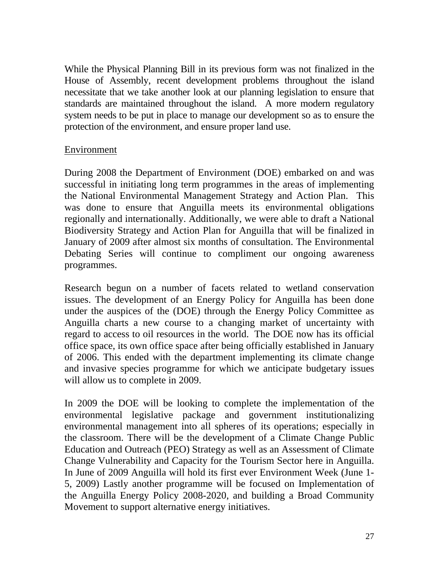While the Physical Planning Bill in its previous form was not finalized in the House of Assembly, recent development problems throughout the island necessitate that we take another look at our planning legislation to ensure that standards are maintained throughout the island. A more modern regulatory system needs to be put in place to manage our development so as to ensure the protection of the environment, and ensure proper land use.

### Environment

During 2008 the Department of Environment (DOE) embarked on and was successful in initiating long term programmes in the areas of implementing the National Environmental Management Strategy and Action Plan. This was done to ensure that Anguilla meets its environmental obligations regionally and internationally. Additionally, we were able to draft a National Biodiversity Strategy and Action Plan for Anguilla that will be finalized in January of 2009 after almost six months of consultation. The Environmental Debating Series will continue to compliment our ongoing awareness programmes.

Research begun on a number of facets related to wetland conservation issues. The development of an Energy Policy for Anguilla has been done under the auspices of the (DOE) through the Energy Policy Committee as Anguilla charts a new course to a changing market of uncertainty with regard to access to oil resources in the world. The DOE now has its official office space, its own office space after being officially established in January of 2006. This ended with the department implementing its climate change and invasive species programme for which we anticipate budgetary issues will allow us to complete in 2009.

In 2009 the DOE will be looking to complete the implementation of the environmental legislative package and government institutionalizing environmental management into all spheres of its operations; especially in the classroom. There will be the development of a Climate Change Public Education and Outreach (PEO) Strategy as well as an Assessment of Climate Change Vulnerability and Capacity for the Tourism Sector here in Anguilla. In June of 2009 Anguilla will hold its first ever Environment Week (June 1- 5, 2009) Lastly another programme will be focused on Implementation of the Anguilla Energy Policy 2008-2020, and building a Broad Community Movement to support alternative energy initiatives.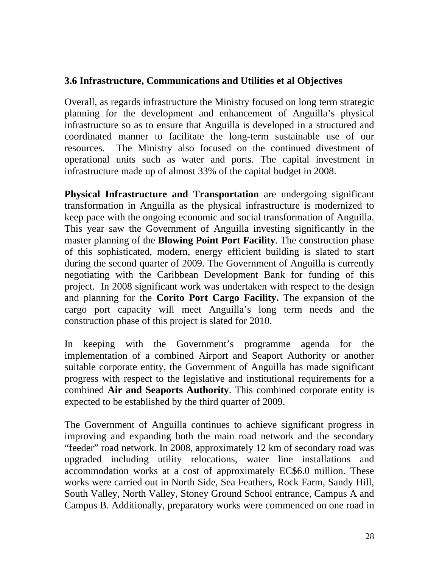### **3.6 Infrastructure, Communications and Utilities et al Objectives**

Overall, as regards infrastructure the Ministry focused on long term strategic planning for the development and enhancement of Anguilla's physical infrastructure so as to ensure that Anguilla is developed in a structured and coordinated manner to facilitate the long-term sustainable use of our resources. The Ministry also focused on the continued divestment of operational units such as water and ports. The capital investment in infrastructure made up of almost 33% of the capital budget in 2008.

**Physical Infrastructure and Transportation** are undergoing significant transformation in Anguilla as the physical infrastructure is modernized to keep pace with the ongoing economic and social transformation of Anguilla. This year saw the Government of Anguilla investing significantly in the master planning of the **Blowing Point Port Facility**. The construction phase of this sophisticated, modern, energy efficient building is slated to start during the second quarter of 2009. The Government of Anguilla is currently negotiating with the Caribbean Development Bank for funding of this project. In 2008 significant work was undertaken with respect to the design and planning for the **Corito Port Cargo Facility.** The expansion of the cargo port capacity will meet Anguilla's long term needs and the construction phase of this project is slated for 2010.

In keeping with the Government's programme agenda for the implementation of a combined Airport and Seaport Authority or another suitable corporate entity, the Government of Anguilla has made significant progress with respect to the legislative and institutional requirements for a combined **Air and Seaports Authority**. This combined corporate entity is expected to be established by the third quarter of 2009.

The Government of Anguilla continues to achieve significant progress in improving and expanding both the main road network and the secondary "feeder" road network. In 2008, approximately 12 km of secondary road was upgraded including utility relocations, water line installations and accommodation works at a cost of approximately EC\$6.0 million. These works were carried out in North Side, Sea Feathers, Rock Farm, Sandy Hill, South Valley, North Valley, Stoney Ground School entrance, Campus A and Campus B. Additionally, preparatory works were commenced on one road in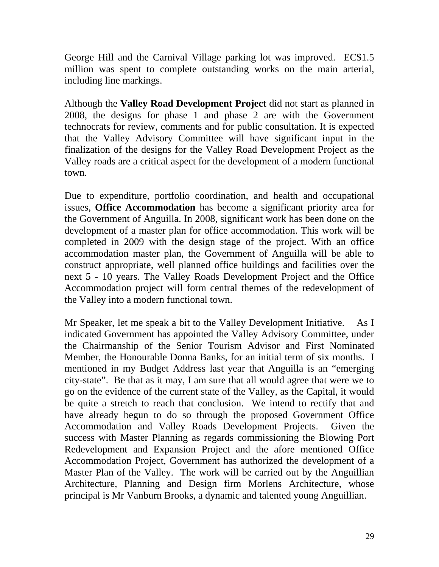George Hill and the Carnival Village parking lot was improved. EC\$1.5 million was spent to complete outstanding works on the main arterial, including line markings.

Although the **Valley Road Development Project** did not start as planned in 2008, the designs for phase 1 and phase 2 are with the Government technocrats for review, comments and for public consultation. It is expected that the Valley Advisory Committee will have significant input in the finalization of the designs for the Valley Road Development Project as the Valley roads are a critical aspect for the development of a modern functional town.

Due to expenditure, portfolio coordination, and health and occupational issues, **Office Accommodation** has become a significant priority area for the Government of Anguilla. In 2008, significant work has been done on the development of a master plan for office accommodation. This work will be completed in 2009 with the design stage of the project. With an office accommodation master plan, the Government of Anguilla will be able to construct appropriate, well planned office buildings and facilities over the next 5 - 10 years. The Valley Roads Development Project and the Office Accommodation project will form central themes of the redevelopment of the Valley into a modern functional town.

Mr Speaker, let me speak a bit to the Valley Development Initiative. As I indicated Government has appointed the Valley Advisory Committee, under the Chairmanship of the Senior Tourism Advisor and First Nominated Member, the Honourable Donna Banks, for an initial term of six months. I mentioned in my Budget Address last year that Anguilla is an "emerging city-state". Be that as it may, I am sure that all would agree that were we to go on the evidence of the current state of the Valley, as the Capital, it would be quite a stretch to reach that conclusion. We intend to rectify that and have already begun to do so through the proposed Government Office Accommodation and Valley Roads Development Projects. Given the success with Master Planning as regards commissioning the Blowing Port Redevelopment and Expansion Project and the afore mentioned Office Accommodation Project, Government has authorized the development of a Master Plan of the Valley. The work will be carried out by the Anguillian Architecture, Planning and Design firm Morlens Architecture, whose principal is Mr Vanburn Brooks, a dynamic and talented young Anguillian.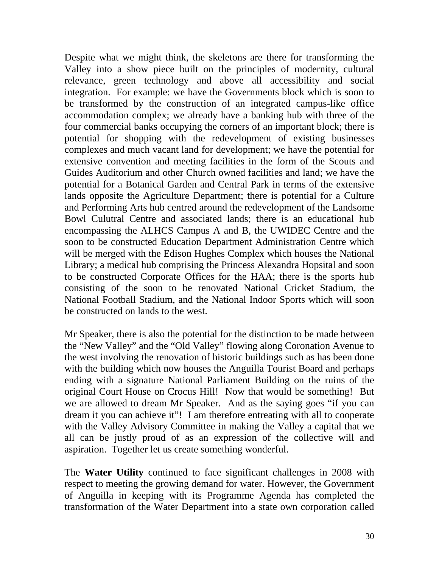Despite what we might think, the skeletons are there for transforming the Valley into a show piece built on the principles of modernity, cultural relevance, green technology and above all accessibility and social integration. For example: we have the Governments block which is soon to be transformed by the construction of an integrated campus-like office accommodation complex; we already have a banking hub with three of the four commercial banks occupying the corners of an important block; there is potential for shopping with the redevelopment of existing businesses complexes and much vacant land for development; we have the potential for extensive convention and meeting facilities in the form of the Scouts and Guides Auditorium and other Church owned facilities and land; we have the potential for a Botanical Garden and Central Park in terms of the extensive lands opposite the Agriculture Department; there is potential for a Culture and Performing Arts hub centred around the redevelopment of the Landsome Bowl Culutral Centre and associated lands; there is an educational hub encompassing the ALHCS Campus A and B, the UWIDEC Centre and the soon to be constructed Education Department Administration Centre which will be merged with the Edison Hughes Complex which houses the National Library; a medical hub comprising the Princess Alexandra Hopsital and soon to be constructed Corporate Offices for the HAA; there is the sports hub consisting of the soon to be renovated National Cricket Stadium, the National Football Stadium, and the National Indoor Sports which will soon be constructed on lands to the west.

Mr Speaker, there is also the potential for the distinction to be made between the "New Valley" and the "Old Valley" flowing along Coronation Avenue to the west involving the renovation of historic buildings such as has been done with the building which now houses the Anguilla Tourist Board and perhaps ending with a signature National Parliament Building on the ruins of the original Court House on Crocus Hill! Now that would be something! But we are allowed to dream Mr Speaker. And as the saying goes "if you can dream it you can achieve it"! I am therefore entreating with all to cooperate with the Valley Advisory Committee in making the Valley a capital that we all can be justly proud of as an expression of the collective will and aspiration. Together let us create something wonderful.

The **Water Utility** continued to face significant challenges in 2008 with respect to meeting the growing demand for water. However, the Government of Anguilla in keeping with its Programme Agenda has completed the transformation of the Water Department into a state own corporation called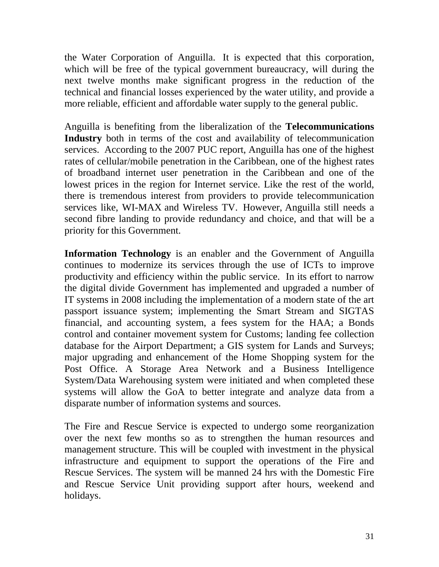the Water Corporation of Anguilla. It is expected that this corporation, which will be free of the typical government bureaucracy, will during the next twelve months make significant progress in the reduction of the technical and financial losses experienced by the water utility, and provide a more reliable, efficient and affordable water supply to the general public.

Anguilla is benefiting from the liberalization of the **Telecommunications Industry** both in terms of the cost and availability of telecommunication services. According to the 2007 PUC report, Anguilla has one of the highest rates of cellular/mobile penetration in the Caribbean, one of the highest rates of broadband internet user penetration in the Caribbean and one of the lowest prices in the region for Internet service. Like the rest of the world, there is tremendous interest from providers to provide telecommunication services like, WI-MAX and Wireless TV. However, Anguilla still needs a second fibre landing to provide redundancy and choice, and that will be a priority for this Government.

**Information Technology** is an enabler and the Government of Anguilla continues to modernize its services through the use of ICTs to improve productivity and efficiency within the public service. In its effort to narrow the digital divide Government has implemented and upgraded a number of IT systems in 2008 including the implementation of a modern state of the art passport issuance system; implementing the Smart Stream and SIGTAS financial, and accounting system, a fees system for the HAA; a Bonds control and container movement system for Customs; landing fee collection database for the Airport Department; a GIS system for Lands and Surveys; major upgrading and enhancement of the Home Shopping system for the Post Office. A Storage Area Network and a Business Intelligence System/Data Warehousing system were initiated and when completed these systems will allow the GoA to better integrate and analyze data from a disparate number of information systems and sources.

The Fire and Rescue Service is expected to undergo some reorganization over the next few months so as to strengthen the human resources and management structure. This will be coupled with investment in the physical infrastructure and equipment to support the operations of the Fire and Rescue Services. The system will be manned 24 hrs with the Domestic Fire and Rescue Service Unit providing support after hours, weekend and holidays.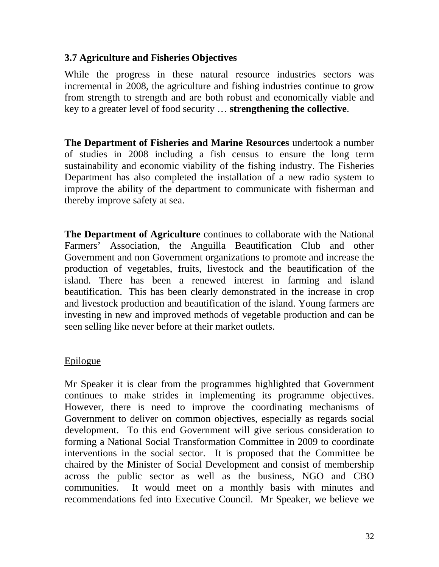### **3.7 Agriculture and Fisheries Objectives**

While the progress in these natural resource industries sectors was incremental in 2008, the agriculture and fishing industries continue to grow from strength to strength and are both robust and economically viable and key to a greater level of food security … **strengthening the collective**.

**The Department of Fisheries and Marine Resources** undertook a number of studies in 2008 including a fish census to ensure the long term sustainability and economic viability of the fishing industry. The Fisheries Department has also completed the installation of a new radio system to improve the ability of the department to communicate with fisherman and thereby improve safety at sea.

**The Department of Agriculture** continues to collaborate with the National Farmers' Association, the Anguilla Beautification Club and other Government and non Government organizations to promote and increase the production of vegetables, fruits, livestock and the beautification of the island. There has been a renewed interest in farming and island beautification. This has been clearly demonstrated in the increase in crop and livestock production and beautification of the island. Young farmers are investing in new and improved methods of vegetable production and can be seen selling like never before at their market outlets.

#### Epilogue

Mr Speaker it is clear from the programmes highlighted that Government continues to make strides in implementing its programme objectives. However, there is need to improve the coordinating mechanisms of Government to deliver on common objectives, especially as regards social development. To this end Government will give serious consideration to forming a National Social Transformation Committee in 2009 to coordinate interventions in the social sector. It is proposed that the Committee be chaired by the Minister of Social Development and consist of membership across the public sector as well as the business, NGO and CBO communities. It would meet on a monthly basis with minutes and recommendations fed into Executive Council. Mr Speaker, we believe we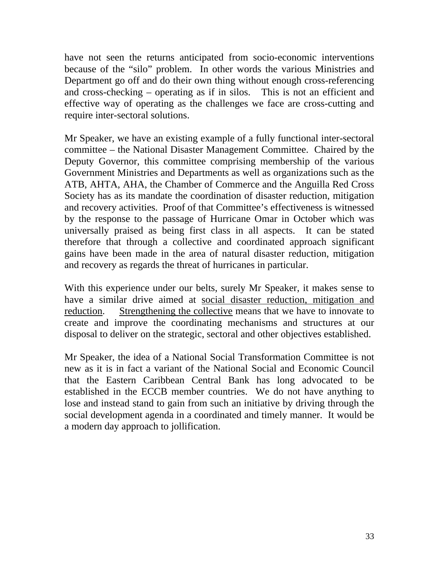have not seen the returns anticipated from socio-economic interventions because of the "silo" problem. In other words the various Ministries and Department go off and do their own thing without enough cross-referencing and cross-checking – operating as if in silos. This is not an efficient and effective way of operating as the challenges we face are cross-cutting and require inter-sectoral solutions.

Mr Speaker, we have an existing example of a fully functional inter-sectoral committee – the National Disaster Management Committee. Chaired by the Deputy Governor, this committee comprising membership of the various Government Ministries and Departments as well as organizations such as the ATB, AHTA, AHA, the Chamber of Commerce and the Anguilla Red Cross Society has as its mandate the coordination of disaster reduction, mitigation and recovery activities. Proof of that Committee's effectiveness is witnessed by the response to the passage of Hurricane Omar in October which was universally praised as being first class in all aspects. It can be stated therefore that through a collective and coordinated approach significant gains have been made in the area of natural disaster reduction, mitigation and recovery as regards the threat of hurricanes in particular.

With this experience under our belts, surely Mr Speaker, it makes sense to have a similar drive aimed at social disaster reduction, mitigation and reduction. Strengthening the collective means that we have to innovate to create and improve the coordinating mechanisms and structures at our disposal to deliver on the strategic, sectoral and other objectives established.

Mr Speaker, the idea of a National Social Transformation Committee is not new as it is in fact a variant of the National Social and Economic Council that the Eastern Caribbean Central Bank has long advocated to be established in the ECCB member countries. We do not have anything to lose and instead stand to gain from such an initiative by driving through the social development agenda in a coordinated and timely manner. It would be a modern day approach to jollification.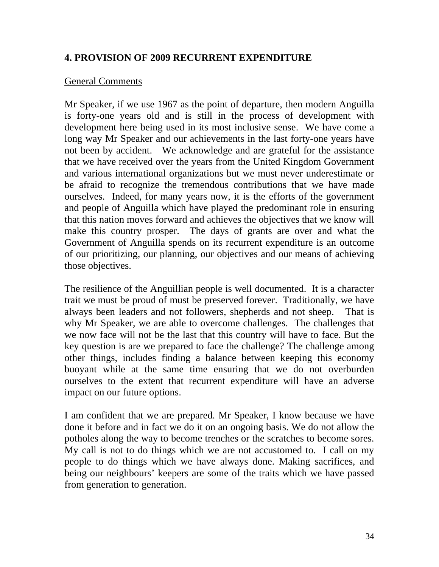### **4. PROVISION OF 2009 RECURRENT EXPENDITURE**

#### General Comments

Mr Speaker, if we use 1967 as the point of departure, then modern Anguilla is forty-one years old and is still in the process of development with development here being used in its most inclusive sense. We have come a long way Mr Speaker and our achievements in the last forty-one years have not been by accident. We acknowledge and are grateful for the assistance that we have received over the years from the United Kingdom Government and various international organizations but we must never underestimate or be afraid to recognize the tremendous contributions that we have made ourselves. Indeed, for many years now, it is the efforts of the government and people of Anguilla which have played the predominant role in ensuring that this nation moves forward and achieves the objectives that we know will make this country prosper. The days of grants are over and what the Government of Anguilla spends on its recurrent expenditure is an outcome of our prioritizing, our planning, our objectives and our means of achieving those objectives.

The resilience of the Anguillian people is well documented. It is a character trait we must be proud of must be preserved forever. Traditionally, we have always been leaders and not followers, shepherds and not sheep. That is why Mr Speaker, we are able to overcome challenges. The challenges that we now face will not be the last that this country will have to face. But the key question is are we prepared to face the challenge? The challenge among other things, includes finding a balance between keeping this economy buoyant while at the same time ensuring that we do not overburden ourselves to the extent that recurrent expenditure will have an adverse impact on our future options.

I am confident that we are prepared. Mr Speaker, I know because we have done it before and in fact we do it on an ongoing basis. We do not allow the potholes along the way to become trenches or the scratches to become sores. My call is not to do things which we are not accustomed to. I call on my people to do things which we have always done. Making sacrifices, and being our neighbours' keepers are some of the traits which we have passed from generation to generation.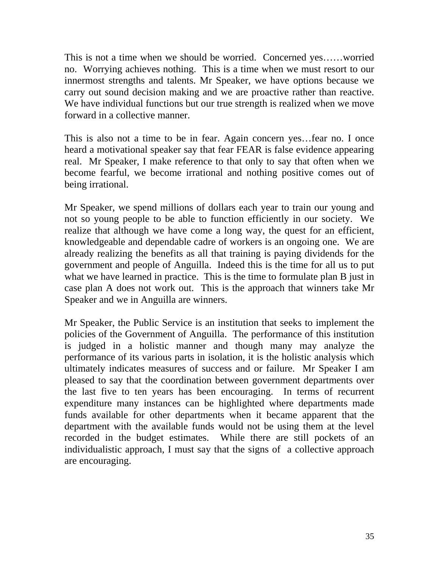This is not a time when we should be worried. Concerned yes……worried no. Worrying achieves nothing. This is a time when we must resort to our innermost strengths and talents. Mr Speaker, we have options because we carry out sound decision making and we are proactive rather than reactive. We have individual functions but our true strength is realized when we move forward in a collective manner.

This is also not a time to be in fear. Again concern yes…fear no. I once heard a motivational speaker say that fear FEAR is false evidence appearing real. Mr Speaker, I make reference to that only to say that often when we become fearful, we become irrational and nothing positive comes out of being irrational.

Mr Speaker, we spend millions of dollars each year to train our young and not so young people to be able to function efficiently in our society. We realize that although we have come a long way, the quest for an efficient, knowledgeable and dependable cadre of workers is an ongoing one. We are already realizing the benefits as all that training is paying dividends for the government and people of Anguilla. Indeed this is the time for all us to put what we have learned in practice. This is the time to formulate plan B just in case plan A does not work out. This is the approach that winners take Mr Speaker and we in Anguilla are winners.

Mr Speaker, the Public Service is an institution that seeks to implement the policies of the Government of Anguilla. The performance of this institution is judged in a holistic manner and though many may analyze the performance of its various parts in isolation, it is the holistic analysis which ultimately indicates measures of success and or failure. Mr Speaker I am pleased to say that the coordination between government departments over the last five to ten years has been encouraging. In terms of recurrent expenditure many instances can be highlighted where departments made funds available for other departments when it became apparent that the department with the available funds would not be using them at the level recorded in the budget estimates. While there are still pockets of an individualistic approach, I must say that the signs of a collective approach are encouraging.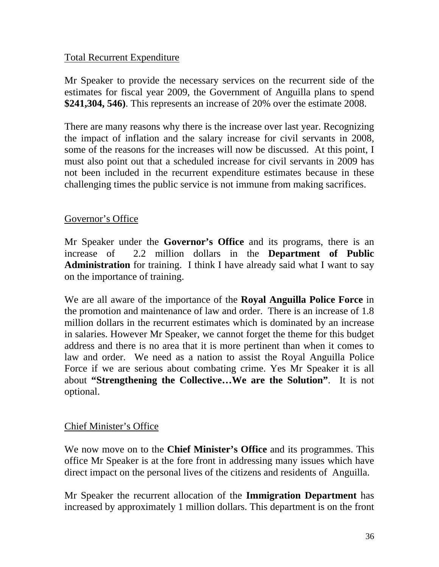### Total Recurrent Expenditure

Mr Speaker to provide the necessary services on the recurrent side of the estimates for fiscal year 2009, the Government of Anguilla plans to spend **\$241,304, 546)**. This represents an increase of 20% over the estimate 2008.

There are many reasons why there is the increase over last year. Recognizing the impact of inflation and the salary increase for civil servants in 2008, some of the reasons for the increases will now be discussed. At this point, I must also point out that a scheduled increase for civil servants in 2009 has not been included in the recurrent expenditure estimates because in these challenging times the public service is not immune from making sacrifices.

### Governor's Office

Mr Speaker under the **Governor's Office** and its programs, there is an increase of 2.2 million dollars in the **Department of Public Administration** for training. I think I have already said what I want to say on the importance of training.

We are all aware of the importance of the **Royal Anguilla Police Force** in the promotion and maintenance of law and order. There is an increase of 1.8 million dollars in the recurrent estimates which is dominated by an increase in salaries. However Mr Speaker, we cannot forget the theme for this budget address and there is no area that it is more pertinent than when it comes to law and order. We need as a nation to assist the Royal Anguilla Police Force if we are serious about combating crime. Yes Mr Speaker it is all about **"Strengthening the Collective…We are the Solution"**. It is not optional.

#### Chief Minister's Office

We now move on to the **Chief Minister's Office** and its programmes. This office Mr Speaker is at the fore front in addressing many issues which have direct impact on the personal lives of the citizens and residents of Anguilla.

Mr Speaker the recurrent allocation of the **Immigration Department** has increased by approximately 1 million dollars. This department is on the front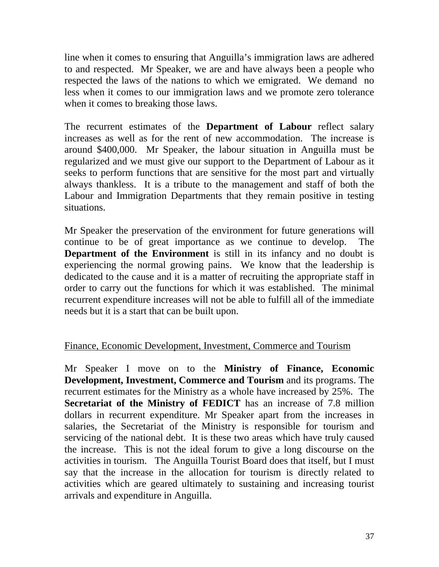line when it comes to ensuring that Anguilla's immigration laws are adhered to and respected. Mr Speaker, we are and have always been a people who respected the laws of the nations to which we emigrated. We demand no less when it comes to our immigration laws and we promote zero tolerance when it comes to breaking those laws.

The recurrent estimates of the **Department of Labour** reflect salary increases as well as for the rent of new accommodation. The increase is around \$400,000. Mr Speaker, the labour situation in Anguilla must be regularized and we must give our support to the Department of Labour as it seeks to perform functions that are sensitive for the most part and virtually always thankless. It is a tribute to the management and staff of both the Labour and Immigration Departments that they remain positive in testing situations.

Mr Speaker the preservation of the environment for future generations will continue to be of great importance as we continue to develop. The **Department of the Environment** is still in its infancy and no doubt is experiencing the normal growing pains. We know that the leadership is dedicated to the cause and it is a matter of recruiting the appropriate staff in order to carry out the functions for which it was established. The minimal recurrent expenditure increases will not be able to fulfill all of the immediate needs but it is a start that can be built upon.

# Finance, Economic Development, Investment, Commerce and Tourism

Mr Speaker I move on to the **Ministry of Finance, Economic Development, Investment, Commerce and Tourism** and its programs. The recurrent estimates for the Ministry as a whole have increased by 25%. The **Secretariat of the Ministry of FEDICT** has an increase of 7.8 million dollars in recurrent expenditure. Mr Speaker apart from the increases in salaries, the Secretariat of the Ministry is responsible for tourism and servicing of the national debt. It is these two areas which have truly caused the increase. This is not the ideal forum to give a long discourse on the activities in tourism. The Anguilla Tourist Board does that itself, but I must say that the increase in the allocation for tourism is directly related to activities which are geared ultimately to sustaining and increasing tourist arrivals and expenditure in Anguilla.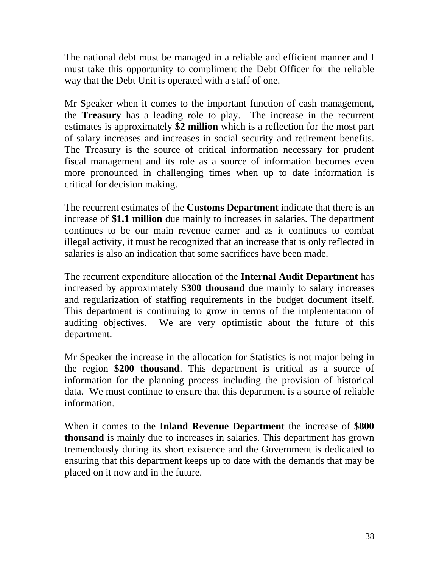The national debt must be managed in a reliable and efficient manner and I must take this opportunity to compliment the Debt Officer for the reliable way that the Debt Unit is operated with a staff of one.

Mr Speaker when it comes to the important function of cash management, the **Treasury** has a leading role to play. The increase in the recurrent estimates is approximately **\$2 million** which is a reflection for the most part of salary increases and increases in social security and retirement benefits. The Treasury is the source of critical information necessary for prudent fiscal management and its role as a source of information becomes even more pronounced in challenging times when up to date information is critical for decision making.

The recurrent estimates of the **Customs Department** indicate that there is an increase of **\$1.1 million** due mainly to increases in salaries. The department continues to be our main revenue earner and as it continues to combat illegal activity, it must be recognized that an increase that is only reflected in salaries is also an indication that some sacrifices have been made.

The recurrent expenditure allocation of the **Internal Audit Department** has increased by approximately **\$300 thousand** due mainly to salary increases and regularization of staffing requirements in the budget document itself. This department is continuing to grow in terms of the implementation of auditing objectives. We are very optimistic about the future of this department.

Mr Speaker the increase in the allocation for Statistics is not major being in the region **\$200 thousand**. This department is critical as a source of information for the planning process including the provision of historical data. We must continue to ensure that this department is a source of reliable information.

When it comes to the **Inland Revenue Department** the increase of **\$800 thousand** is mainly due to increases in salaries. This department has grown tremendously during its short existence and the Government is dedicated to ensuring that this department keeps up to date with the demands that may be placed on it now and in the future.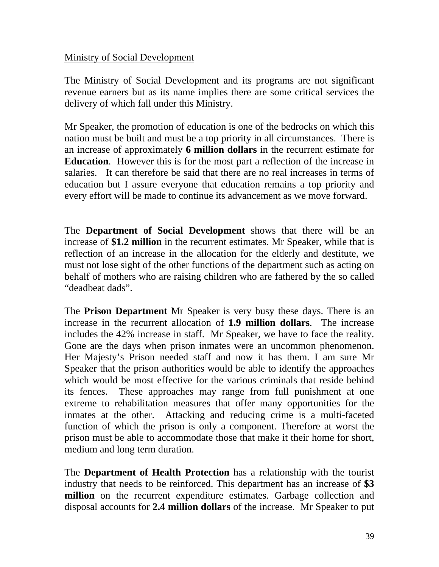### Ministry of Social Development

The Ministry of Social Development and its programs are not significant revenue earners but as its name implies there are some critical services the delivery of which fall under this Ministry.

Mr Speaker, the promotion of education is one of the bedrocks on which this nation must be built and must be a top priority in all circumstances. There is an increase of approximately **6 million dollars** in the recurrent estimate for **Education**. However this is for the most part a reflection of the increase in salaries. It can therefore be said that there are no real increases in terms of education but I assure everyone that education remains a top priority and every effort will be made to continue its advancement as we move forward.

The **Department of Social Development** shows that there will be an increase of **\$1.2 million** in the recurrent estimates. Mr Speaker, while that is reflection of an increase in the allocation for the elderly and destitute, we must not lose sight of the other functions of the department such as acting on behalf of mothers who are raising children who are fathered by the so called "deadbeat dads".

The **Prison Department** Mr Speaker is very busy these days. There is an increase in the recurrent allocation of **1.9 million dollars**. The increase includes the 42% increase in staff. Mr Speaker, we have to face the reality. Gone are the days when prison inmates were an uncommon phenomenon. Her Majesty's Prison needed staff and now it has them. I am sure Mr Speaker that the prison authorities would be able to identify the approaches which would be most effective for the various criminals that reside behind its fences. These approaches may range from full punishment at one extreme to rehabilitation measures that offer many opportunities for the inmates at the other. Attacking and reducing crime is a multi-faceted function of which the prison is only a component. Therefore at worst the prison must be able to accommodate those that make it their home for short, medium and long term duration.

The **Department of Health Protection** has a relationship with the tourist industry that needs to be reinforced. This department has an increase of **\$3 million** on the recurrent expenditure estimates. Garbage collection and disposal accounts for **2.4 million dollars** of the increase. Mr Speaker to put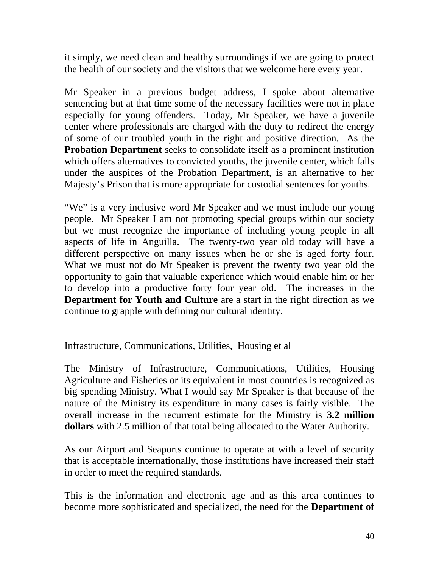it simply, we need clean and healthy surroundings if we are going to protect the health of our society and the visitors that we welcome here every year.

Mr Speaker in a previous budget address, I spoke about alternative sentencing but at that time some of the necessary facilities were not in place especially for young offenders. Today, Mr Speaker, we have a juvenile center where professionals are charged with the duty to redirect the energy of some of our troubled youth in the right and positive direction. As the **Probation Department** seeks to consolidate itself as a prominent institution which offers alternatives to convicted youths, the juvenile center, which falls under the auspices of the Probation Department, is an alternative to her Majesty's Prison that is more appropriate for custodial sentences for youths.

"We" is a very inclusive word Mr Speaker and we must include our young people. Mr Speaker I am not promoting special groups within our society but we must recognize the importance of including young people in all aspects of life in Anguilla. The twenty-two year old today will have a different perspective on many issues when he or she is aged forty four. What we must not do Mr Speaker is prevent the twenty two year old the opportunity to gain that valuable experience which would enable him or her to develop into a productive forty four year old. The increases in the **Department for Youth and Culture** are a start in the right direction as we continue to grapple with defining our cultural identity.

# Infrastructure, Communications, Utilities, Housing et al

The Ministry of Infrastructure, Communications, Utilities, Housing Agriculture and Fisheries or its equivalent in most countries is recognized as big spending Ministry. What I would say Mr Speaker is that because of the nature of the Ministry its expenditure in many cases is fairly visible. The overall increase in the recurrent estimate for the Ministry is **3.2 million dollars** with 2.5 million of that total being allocated to the Water Authority.

As our Airport and Seaports continue to operate at with a level of security that is acceptable internationally, those institutions have increased their staff in order to meet the required standards.

This is the information and electronic age and as this area continues to become more sophisticated and specialized, the need for the **Department of**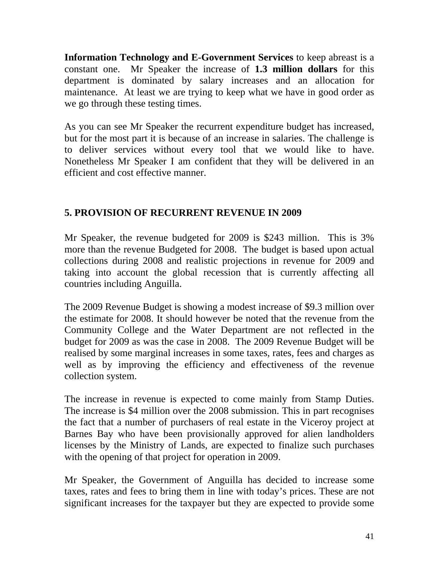**Information Technology and E-Government Services** to keep abreast is a constant one. Mr Speaker the increase of **1.3 million dollars** for this department is dominated by salary increases and an allocation for maintenance. At least we are trying to keep what we have in good order as we go through these testing times.

As you can see Mr Speaker the recurrent expenditure budget has increased, but for the most part it is because of an increase in salaries. The challenge is to deliver services without every tool that we would like to have. Nonetheless Mr Speaker I am confident that they will be delivered in an efficient and cost effective manner.

# **5. PROVISION OF RECURRENT REVENUE IN 2009**

Mr Speaker, the revenue budgeted for 2009 is \$243 million. This is 3% more than the revenue Budgeted for 2008. The budget is based upon actual collections during 2008 and realistic projections in revenue for 2009 and taking into account the global recession that is currently affecting all countries including Anguilla.

The 2009 Revenue Budget is showing a modest increase of \$9.3 million over the estimate for 2008. It should however be noted that the revenue from the Community College and the Water Department are not reflected in the budget for 2009 as was the case in 2008. The 2009 Revenue Budget will be realised by some marginal increases in some taxes, rates, fees and charges as well as by improving the efficiency and effectiveness of the revenue collection system.

The increase in revenue is expected to come mainly from Stamp Duties. The increase is \$4 million over the 2008 submission. This in part recognises the fact that a number of purchasers of real estate in the Viceroy project at Barnes Bay who have been provisionally approved for alien landholders licenses by the Ministry of Lands, are expected to finalize such purchases with the opening of that project for operation in 2009.

Mr Speaker, the Government of Anguilla has decided to increase some taxes, rates and fees to bring them in line with today's prices. These are not significant increases for the taxpayer but they are expected to provide some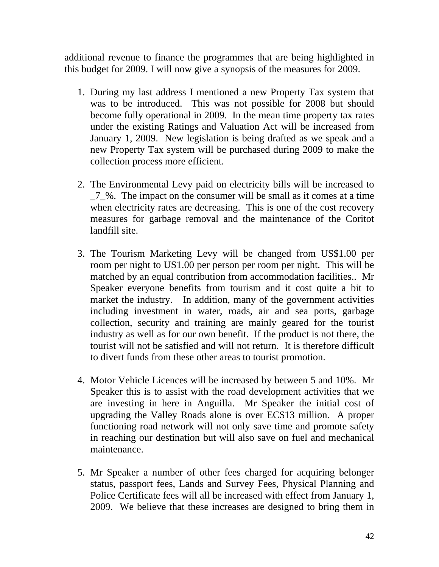additional revenue to finance the programmes that are being highlighted in this budget for 2009. I will now give a synopsis of the measures for 2009.

- 1. During my last address I mentioned a new Property Tax system that was to be introduced. This was not possible for 2008 but should become fully operational in 2009. In the mean time property tax rates under the existing Ratings and Valuation Act will be increased from January 1, 2009. New legislation is being drafted as we speak and a new Property Tax system will be purchased during 2009 to make the collection process more efficient.
- 2. The Environmental Levy paid on electricity bills will be increased to  $\frac{7}{6}$ . The impact on the consumer will be small as it comes at a time when electricity rates are decreasing. This is one of the cost recovery measures for garbage removal and the maintenance of the Coritot landfill site.
- 3. The Tourism Marketing Levy will be changed from US\$1.00 per room per night to US1.00 per person per room per night. This will be matched by an equal contribution from accommodation facilities.. Mr Speaker everyone benefits from tourism and it cost quite a bit to market the industry. In addition, many of the government activities including investment in water, roads, air and sea ports, garbage collection, security and training are mainly geared for the tourist industry as well as for our own benefit. If the product is not there, the tourist will not be satisfied and will not return. It is therefore difficult to divert funds from these other areas to tourist promotion.
- 4. Motor Vehicle Licences will be increased by between 5 and 10%. Mr Speaker this is to assist with the road development activities that we are investing in here in Anguilla. Mr Speaker the initial cost of upgrading the Valley Roads alone is over EC\$13 million. A proper functioning road network will not only save time and promote safety in reaching our destination but will also save on fuel and mechanical maintenance.
- 5. Mr Speaker a number of other fees charged for acquiring belonger status, passport fees, Lands and Survey Fees, Physical Planning and Police Certificate fees will all be increased with effect from January 1, 2009. We believe that these increases are designed to bring them in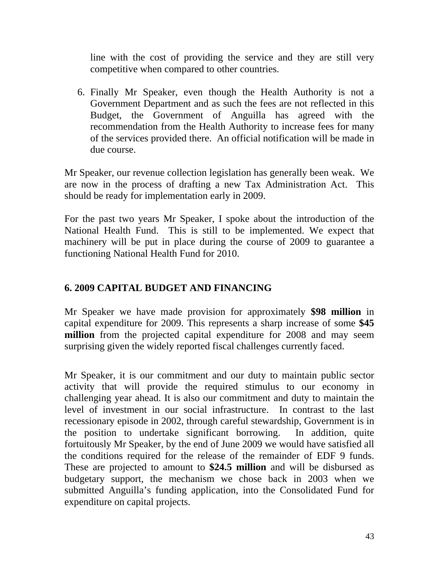line with the cost of providing the service and they are still very competitive when compared to other countries.

6. Finally Mr Speaker, even though the Health Authority is not a Government Department and as such the fees are not reflected in this Budget, the Government of Anguilla has agreed with the recommendation from the Health Authority to increase fees for many of the services provided there. An official notification will be made in due course.

Mr Speaker, our revenue collection legislation has generally been weak. We are now in the process of drafting a new Tax Administration Act. This should be ready for implementation early in 2009.

For the past two years Mr Speaker, I spoke about the introduction of the National Health Fund. This is still to be implemented. We expect that machinery will be put in place during the course of 2009 to guarantee a functioning National Health Fund for 2010.

# **6. 2009 CAPITAL BUDGET AND FINANCING**

Mr Speaker we have made provision for approximately **\$98 million** in capital expenditure for 2009. This represents a sharp increase of some **\$45 million** from the projected capital expenditure for 2008 and may seem surprising given the widely reported fiscal challenges currently faced.

Mr Speaker, it is our commitment and our duty to maintain public sector activity that will provide the required stimulus to our economy in challenging year ahead. It is also our commitment and duty to maintain the level of investment in our social infrastructure. In contrast to the last recessionary episode in 2002, through careful stewardship, Government is in the position to undertake significant borrowing. In addition, quite fortuitously Mr Speaker, by the end of June 2009 we would have satisfied all the conditions required for the release of the remainder of EDF 9 funds. These are projected to amount to **\$24.5 million** and will be disbursed as budgetary support, the mechanism we chose back in 2003 when we submitted Anguilla's funding application, into the Consolidated Fund for expenditure on capital projects.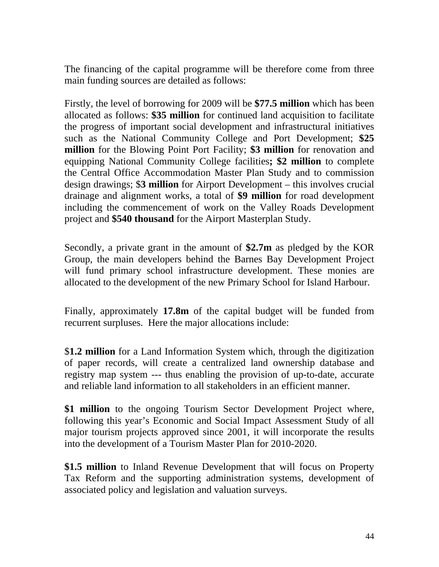The financing of the capital programme will be therefore come from three main funding sources are detailed as follows:

Firstly, the level of borrowing for 2009 will be **\$77.5 million** which has been allocated as follows: **\$35 million** for continued land acquisition to facilitate the progress of important social development and infrastructural initiatives such as the National Community College and Port Development; **\$25 million** for the Blowing Point Port Facility; **\$3 million** for renovation and equipping National Community College facilities**; \$2 million** to complete the Central Office Accommodation Master Plan Study and to commission design drawings; \$**3 million** for Airport Development – this involves crucial drainage and alignment works, a total of **\$9 million** for road development including the commencement of work on the Valley Roads Development project and **\$540 thousand** for the Airport Masterplan Study.

Secondly, a private grant in the amount of **\$2.7m** as pledged by the KOR Group, the main developers behind the Barnes Bay Development Project will fund primary school infrastructure development. These monies are allocated to the development of the new Primary School for Island Harbour.

Finally, approximately **17.8m** of the capital budget will be funded from recurrent surpluses. Here the major allocations include:

\$**1.2 million** for a Land Information System which, through the digitization of paper records, will create a centralized land ownership database and registry map system --- thus enabling the provision of up-to-date, accurate and reliable land information to all stakeholders in an efficient manner.

**\$1 million** to the ongoing Tourism Sector Development Project where, following this year's Economic and Social Impact Assessment Study of all major tourism projects approved since 2001, it will incorporate the results into the development of a Tourism Master Plan for 2010-2020.

**\$1.5 million** to Inland Revenue Development that will focus on Property Tax Reform and the supporting administration systems, development of associated policy and legislation and valuation surveys.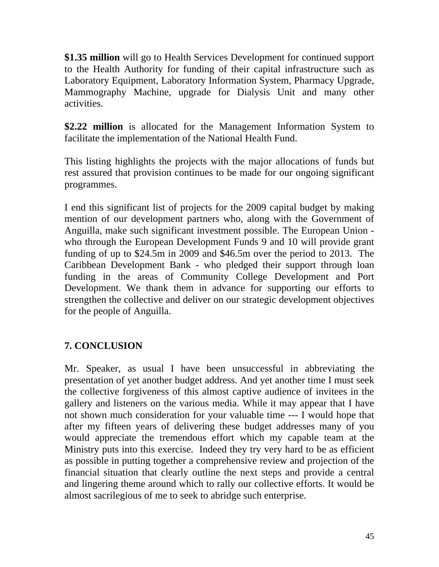**\$1.35 million** will go to Health Services Development for continued support to the Health Authority for funding of their capital infrastructure such as Laboratory Equipment, Laboratory Information System, Pharmacy Upgrade, Mammography Machine, upgrade for Dialysis Unit and many other activities.

**\$2.22 million** is allocated for the Management Information System to facilitate the implementation of the National Health Fund.

This listing highlights the projects with the major allocations of funds but rest assured that provision continues to be made for our ongoing significant programmes.

I end this significant list of projects for the 2009 capital budget by making mention of our development partners who, along with the Government of Anguilla, make such significant investment possible. The European Union who through the European Development Funds 9 and 10 will provide grant funding of up to \$24.5m in 2009 and \$46.5m over the period to 2013. The Caribbean Development Bank - who pledged their support through loan funding in the areas of Community College Development and Port Development. We thank them in advance for supporting our efforts to strengthen the collective and deliver on our strategic development objectives for the people of Anguilla.

# **7. CONCLUSION**

Mr. Speaker, as usual I have been unsuccessful in abbreviating the presentation of yet another budget address. And yet another time I must seek the collective forgiveness of this almost captive audience of invitees in the gallery and listeners on the various media. While it may appear that I have not shown much consideration for your valuable time --- I would hope that after my fifteen years of delivering these budget addresses many of you would appreciate the tremendous effort which my capable team at the Ministry puts into this exercise. Indeed they try very hard to be as efficient as possible in putting together a comprehensive review and projection of the financial situation that clearly outline the next steps and provide a central and lingering theme around which to rally our collective efforts. It would be almost sacrilegious of me to seek to abridge such enterprise.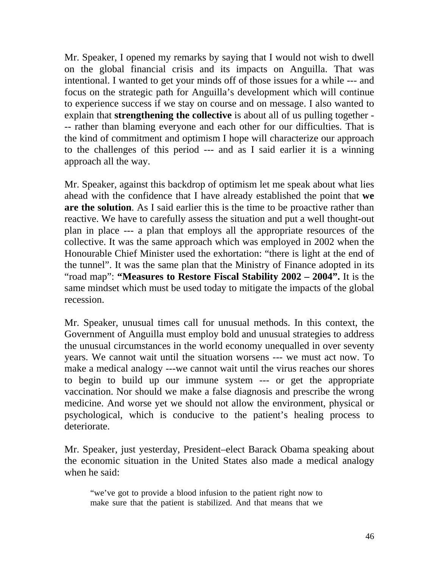Mr. Speaker, I opened my remarks by saying that I would not wish to dwell on the global financial crisis and its impacts on Anguilla. That was intentional. I wanted to get your minds off of those issues for a while --- and focus on the strategic path for Anguilla's development which will continue to experience success if we stay on course and on message. I also wanted to explain that **strengthening the collective** is about all of us pulling together - -- rather than blaming everyone and each other for our difficulties. That is the kind of commitment and optimism I hope will characterize our approach to the challenges of this period --- and as I said earlier it is a winning approach all the way.

Mr. Speaker, against this backdrop of optimism let me speak about what lies ahead with the confidence that I have already established the point that **we are the solution**. As I said earlier this is the time to be proactive rather than reactive. We have to carefully assess the situation and put a well thought-out plan in place --- a plan that employs all the appropriate resources of the collective. It was the same approach which was employed in 2002 when the Honourable Chief Minister used the exhortation: "there is light at the end of the tunnel". It was the same plan that the Ministry of Finance adopted in its "road map": **"Measures to Restore Fiscal Stability 2002 – 2004".** It is the same mindset which must be used today to mitigate the impacts of the global recession.

Mr. Speaker, unusual times call for unusual methods. In this context, the Government of Anguilla must employ bold and unusual strategies to address the unusual circumstances in the world economy unequalled in over seventy years. We cannot wait until the situation worsens --- we must act now. To make a medical analogy ---we cannot wait until the virus reaches our shores to begin to build up our immune system --- or get the appropriate vaccination. Nor should we make a false diagnosis and prescribe the wrong medicine. And worse yet we should not allow the environment, physical or psychological, which is conducive to the patient's healing process to deteriorate.

Mr. Speaker, just yesterday, President–elect Barack Obama speaking about the economic situation in the United States also made a medical analogy when he said:

"we've got to provide a blood infusion to the patient right now to make sure that the patient is stabilized. And that means that we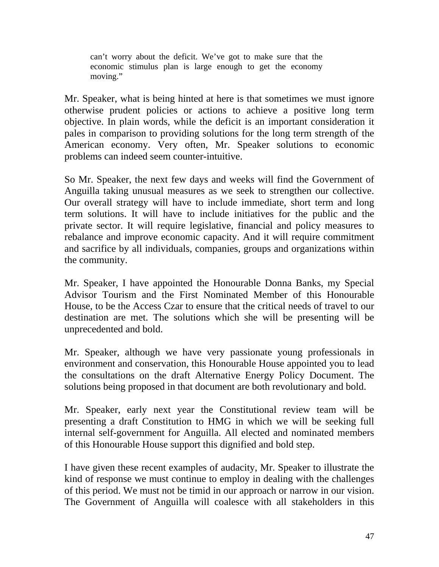can't worry about the deficit. We've got to make sure that the economic stimulus plan is large enough to get the economy moving."

Mr. Speaker, what is being hinted at here is that sometimes we must ignore otherwise prudent policies or actions to achieve a positive long term objective. In plain words, while the deficit is an important consideration it pales in comparison to providing solutions for the long term strength of the American economy. Very often, Mr. Speaker solutions to economic problems can indeed seem counter-intuitive.

So Mr. Speaker, the next few days and weeks will find the Government of Anguilla taking unusual measures as we seek to strengthen our collective. Our overall strategy will have to include immediate, short term and long term solutions. It will have to include initiatives for the public and the private sector. It will require legislative, financial and policy measures to rebalance and improve economic capacity. And it will require commitment and sacrifice by all individuals, companies, groups and organizations within the community.

Mr. Speaker, I have appointed the Honourable Donna Banks, my Special Advisor Tourism and the First Nominated Member of this Honourable House, to be the Access Czar to ensure that the critical needs of travel to our destination are met. The solutions which she will be presenting will be unprecedented and bold.

Mr. Speaker, although we have very passionate young professionals in environment and conservation, this Honourable House appointed you to lead the consultations on the draft Alternative Energy Policy Document. The solutions being proposed in that document are both revolutionary and bold.

Mr. Speaker, early next year the Constitutional review team will be presenting a draft Constitution to HMG in which we will be seeking full internal self-government for Anguilla. All elected and nominated members of this Honourable House support this dignified and bold step.

I have given these recent examples of audacity, Mr. Speaker to illustrate the kind of response we must continue to employ in dealing with the challenges of this period. We must not be timid in our approach or narrow in our vision. The Government of Anguilla will coalesce with all stakeholders in this